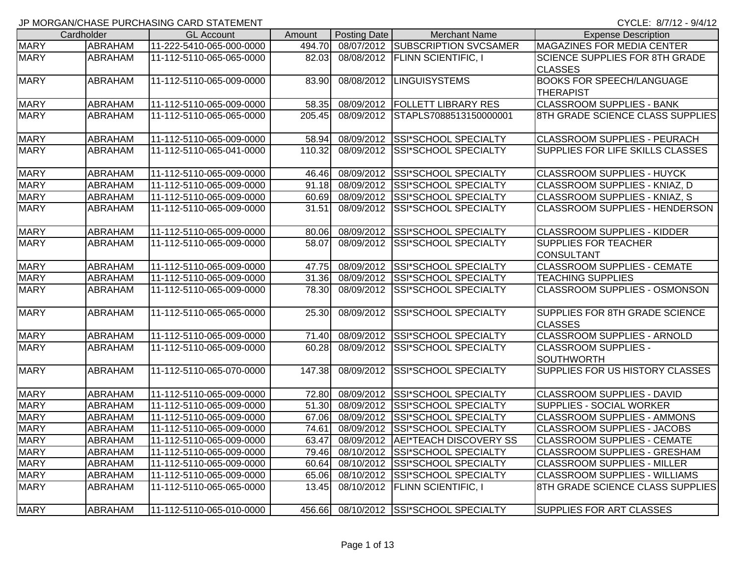|             | Cardholder     | <b>GL Account</b>        | Amount | Posting Date | <b>Merchant Name</b>                   | <b>Expense Description</b>                              |
|-------------|----------------|--------------------------|--------|--------------|----------------------------------------|---------------------------------------------------------|
| <b>MARY</b> | <b>ABRAHAM</b> | 11-222-5410-065-000-0000 | 494.70 |              | 08/07/2012 SUBSCRIPTION SVCSAMER       | <b>MAGAZINES FOR MEDIA CENTER</b>                       |
| <b>MARY</b> | ABRAHAM        | 11-112-5110-065-065-0000 | 82.03  |              | 08/08/2012   FLINN SCIENTIFIC, I       | <b>SCIENCE SUPPLIES FOR 8TH GRADE</b><br><b>CLASSES</b> |
| <b>MARY</b> | ABRAHAM        | 11-112-5110-065-009-0000 | 83.90  | 08/08/2012   | <b>LINGUISYSTEMS</b>                   | <b>BOOKS FOR SPEECH/LANGUAGE</b><br><b>THERAPIST</b>    |
| <b>MARY</b> | ABRAHAM        | 11-112-5110-065-009-0000 | 58.35  |              | 08/09/2012   FOLLETT LIBRARY RES       | <b>CLASSROOM SUPPLIES - BANK</b>                        |
| <b>MARY</b> | <b>ABRAHAM</b> | 11-112-5110-065-065-0000 | 205.45 |              | 08/09/2012 STAPLS7088513150000001      | 8TH GRADE SCIENCE CLASS SUPPLIES                        |
| <b>MARY</b> | ABRAHAM        | 11-112-5110-065-009-0000 | 58.94  |              | 08/09/2012 SSI*SCHOOL SPECIALTY        | <b>CLASSROOM SUPPLIES - PEURACH</b>                     |
| <b>MARY</b> | ABRAHAM        | 11-112-5110-065-041-0000 | 110.32 |              | 08/09/2012 SSI*SCHOOL SPECIALTY        | <b>SUPPLIES FOR LIFE SKILLS CLASSES</b>                 |
| <b>MARY</b> | ABRAHAM        | 11-112-5110-065-009-0000 | 46.46  |              | 08/09/2012 SSI*SCHOOL SPECIALTY        | <b>CLASSROOM SUPPLIES - HUYCK</b>                       |
| <b>MARY</b> | ABRAHAM        | 11-112-5110-065-009-0000 | 91.18  |              | 08/09/2012 SSI*SCHOOL SPECIALTY        | CLASSROOM SUPPLIES - KNIAZ, D                           |
| <b>MARY</b> | ABRAHAM        | 11-112-5110-065-009-0000 | 60.69  |              | 08/09/2012 SSI*SCHOOL SPECIALTY        | CLASSROOM SUPPLIES - KNIAZ, S                           |
| <b>MARY</b> | ABRAHAM        | 11-112-5110-065-009-0000 | 31.51  | 08/09/2012   | <b>SSI*SCHOOL SPECIALTY</b>            | CLASSROOM SUPPLIES - HENDERSON                          |
| <b>MARY</b> | ABRAHAM        | 11-112-5110-065-009-0000 | 80.06  |              | 08/09/2012 SSI*SCHOOL SPECIALTY        | <b>CLASSROOM SUPPLIES - KIDDER</b>                      |
| <b>MARY</b> | ABRAHAM        | 11-112-5110-065-009-0000 | 58.07  |              | 08/09/2012 SSI*SCHOOL SPECIALTY        | <b>SUPPLIES FOR TEACHER</b><br><b>CONSULTANT</b>        |
| <b>MARY</b> | <b>ABRAHAM</b> | 11-112-5110-065-009-0000 | 47.75  |              | 08/09/2012 SSI*SCHOOL SPECIALTY        | <b>CLASSROOM SUPPLIES - CEMATE</b>                      |
| <b>MARY</b> | ABRAHAM        | 11-112-5110-065-009-0000 | 31.36  |              | 08/09/2012 SSI*SCHOOL SPECIALTY        | <b>TEACHING SUPPLIES</b>                                |
| <b>MARY</b> | ABRAHAM        | 11-112-5110-065-009-0000 | 78.30  |              | 08/09/2012 SSI*SCHOOL SPECIALTY        | <b>CLASSROOM SUPPLIES - OSMONSON</b>                    |
| <b>MARY</b> | ABRAHAM        | 11-112-5110-065-065-0000 | 25.30  | 08/09/2012   | <b>SSI*SCHOOL SPECIALTY</b>            | SUPPLIES FOR 8TH GRADE SCIENCE<br><b>CLASSES</b>        |
| <b>MARY</b> | ABRAHAM        | 11-112-5110-065-009-0000 | 71.40  |              | 08/09/2012 SSI*SCHOOL SPECIALTY        | <b>CLASSROOM SUPPLIES - ARNOLD</b>                      |
| <b>MARY</b> | ABRAHAM        | 11-112-5110-065-009-0000 | 60.28  |              | 08/09/2012 SSI*SCHOOL SPECIALTY        | <b>CLASSROOM SUPPLIES -</b><br><b>SOUTHWORTH</b>        |
| <b>MARY</b> | ABRAHAM        | 11-112-5110-065-070-0000 | 147.38 |              | 08/09/2012 SSI*SCHOOL SPECIALTY        | SUPPLIES FOR US HISTORY CLASSES                         |
| <b>MARY</b> | ABRAHAM        | 11-112-5110-065-009-0000 | 72.80  |              | 08/09/2012 SSI*SCHOOL SPECIALTY        | <b>CLASSROOM SUPPLIES - DAVID</b>                       |
| <b>MARY</b> | ABRAHAM        | 11-112-5110-065-009-0000 | 51.30  |              | 08/09/2012 SSI*SCHOOL SPECIALTY        | <b>SUPPLIES - SOCIAL WORKER</b>                         |
| <b>MARY</b> | ABRAHAM        | 11-112-5110-065-009-0000 | 67.06  |              | 08/09/2012 SSI*SCHOOL SPECIALTY        | <b>CLASSROOM SUPPLIES - AMMONS</b>                      |
| <b>MARY</b> | ABRAHAM        | 11-112-5110-065-009-0000 | 74.61  |              | 08/09/2012 SSI*SCHOOL SPECIALTY        | <b>CLASSROOM SUPPLIES - JACOBS</b>                      |
| <b>MARY</b> | ABRAHAM        | 11-112-5110-065-009-0000 | 63.47  |              | 08/09/2012 AEI*TEACH DISCOVERY SS      | <b>CLASSROOM SUPPLIES - CEMATE</b>                      |
| <b>MARY</b> | <b>ABRAHAM</b> | 11-112-5110-065-009-0000 | 79.46  |              | 08/10/2012 SSI*SCHOOL SPECIALTY        | <b>CLASSROOM SUPPLIES - GRESHAM</b>                     |
| <b>MARY</b> | ABRAHAM        | 11-112-5110-065-009-0000 | 60.64  |              | 08/10/2012 SSI*SCHOOL SPECIALTY        | <b>CLASSROOM SUPPLIES - MILLER</b>                      |
| <b>MARY</b> | ABRAHAM        | 11-112-5110-065-009-0000 | 65.06  |              | 08/10/2012 SSI*SCHOOL SPECIALTY        | <b>CLASSROOM SUPPLIES - WILLIAMS</b>                    |
| <b>MARY</b> | ABRAHAM        | 11-112-5110-065-065-0000 | 13.45  |              | 08/10/2012   FLINN SCIENTIFIC, I       | 8TH GRADE SCIENCE CLASS SUPPLIES                        |
| <b>MARY</b> | <b>ABRAHAM</b> | 11-112-5110-065-010-0000 |        |              | 456.66 08/10/2012 SSI*SCHOOL SPECIALTY | <b>SUPPLIES FOR ART CLASSES</b>                         |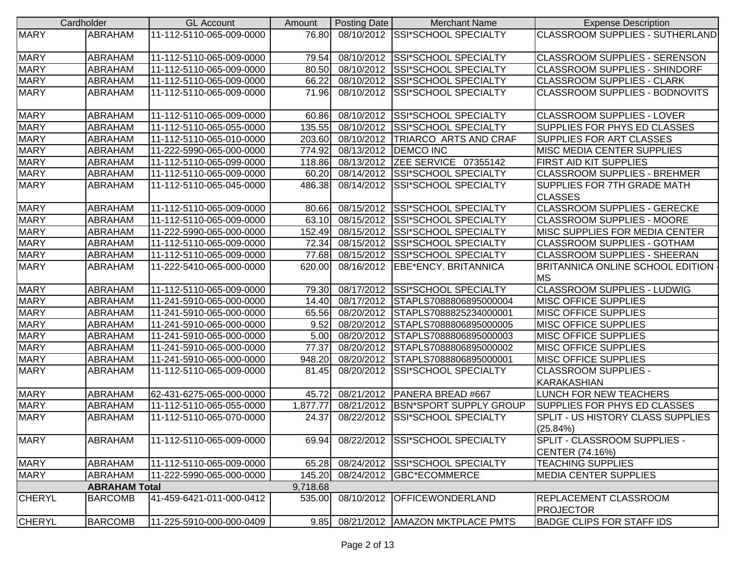|               | Cardholder           | <b>GL Account</b>        | Amount   | Posting Date | <b>Merchant Name</b>                 | <b>Expense Description</b>              |
|---------------|----------------------|--------------------------|----------|--------------|--------------------------------------|-----------------------------------------|
| <b>MARY</b>   | ABRAHAM              | 11-112-5110-065-009-0000 | 76.80    |              | 08/10/2012 SSI*SCHOOL SPECIALTY      | <b>CLASSROOM SUPPLIES - SUTHERLAND</b>  |
|               |                      |                          |          |              |                                      |                                         |
| <b>MARY</b>   | <b>ABRAHAM</b>       | 11-112-5110-065-009-0000 | 79.54    | 08/10/2012   | <b>SSI*SCHOOL SPECIALTY</b>          | <b>CLASSROOM SUPPLIES - SERENSON</b>    |
| <b>MARY</b>   | <b>ABRAHAM</b>       | 11-112-5110-065-009-0000 | 80.50    | 08/10/2012   | <b>SSI*SCHOOL SPECIALTY</b>          | <b>CLASSROOM SUPPLIES - SHINDORF</b>    |
| <b>MARY</b>   | <b>ABRAHAM</b>       | 11-112-5110-065-009-0000 | 66.22    | 08/10/2012   | <b>SSI*SCHOOL SPECIALTY</b>          | <b>CLASSROOM SUPPLIES - CLARK</b>       |
| <b>MARY</b>   | ABRAHAM              | 11-112-5110-065-009-0000 | 71.96    | 08/10/2012   | <b>SSI*SCHOOL SPECIALTY</b>          | <b>CLASSROOM SUPPLIES - BODNOVITS</b>   |
|               |                      |                          |          |              |                                      |                                         |
| <b>MARY</b>   | <b>ABRAHAM</b>       | 11-112-5110-065-009-0000 | 60.86    | 08/10/2012   | <b>SSI*SCHOOL SPECIALTY</b>          | <b>CLASSROOM SUPPLIES - LOVER</b>       |
| <b>MARY</b>   | <b>ABRAHAM</b>       | 11-112-5110-065-055-0000 | 135.55   | 08/10/2012   | <b>SSI*SCHOOL SPECIALTY</b>          | <b>SUPPLIES FOR PHYS ED CLASSES</b>     |
| <b>MARY</b>   | <b>ABRAHAM</b>       | 11-112-5110-065-010-0000 | 203.60   | 08/10/2012   | <b>TRIARCO ARTS AND CRAF</b>         | <b>SUPPLIES FOR ART CLASSES</b>         |
| <b>MARY</b>   | <b>ABRAHAM</b>       | 11-222-5990-065-000-0000 | 774.92   | 08/13/2012   | <b>DEMCO INC</b>                     | <b>MISC MEDIA CENTER SUPPLIES</b>       |
| <b>MARY</b>   | <b>ABRAHAM</b>       | 11-112-5110-065-099-0000 | 118.86   | 08/13/2012   | ZEE SERVICE 07355142                 | <b>FIRST AID KIT SUPPLIES</b>           |
| <b>MARY</b>   | <b>ABRAHAM</b>       | 11-112-5110-065-009-0000 | 60.20    | 08/14/2012   | <b>SSI*SCHOOL SPECIALTY</b>          | <b>CLASSROOM SUPPLIES - BREHMER</b>     |
| <b>MARY</b>   | ABRAHAM              | 11-112-5110-065-045-0000 | 486.38   | 08/14/2012   | <b>ISSI*SCHOOL SPECIALTY</b>         | <b>SUPPLIES FOR 7TH GRADE MATH</b>      |
|               |                      |                          |          |              |                                      | <b>CLASSES</b>                          |
| <b>MARY</b>   | <b>ABRAHAM</b>       | 11-112-5110-065-009-0000 | 80.66    | 08/15/2012   | <b>SSI*SCHOOL SPECIALTY</b>          | <b>CLASSROOM SUPPLIES - GERECKE</b>     |
| <b>MARY</b>   | <b>ABRAHAM</b>       | 11-112-5110-065-009-0000 | 63.10    | 08/15/2012   | <b>SSI*SCHOOL SPECIALTY</b>          | <b>CLASSROOM SUPPLIES - MOORE</b>       |
| <b>MARY</b>   | <b>ABRAHAM</b>       | 11-222-5990-065-000-0000 | 152.49   | 08/15/2012   | <b>SSI*SCHOOL SPECIALTY</b>          | <b>MISC SUPPLIES FOR MEDIA CENTER</b>   |
| <b>MARY</b>   | <b>ABRAHAM</b>       | 11-112-5110-065-009-0000 | 72.34    | 08/15/2012   | <b>SSI*SCHOOL SPECIALTY</b>          | <b>CLASSROOM SUPPLIES - GOTHAM</b>      |
| <b>MARY</b>   | <b>ABRAHAM</b>       | 11-112-5110-065-009-0000 | 77.68    | 08/15/2012   | <b>SSI*SCHOOL SPECIALTY</b>          | <b>CLASSROOM SUPPLIES - SHEERAN</b>     |
| <b>MARY</b>   | ABRAHAM              | 11-222-5410-065-000-0000 | 620.00   | 08/16/2012   | EBE*ENCY. BRITANNICA                 | <b>BRITANNICA ONLINE SCHOOL EDITION</b> |
|               |                      |                          |          |              |                                      | <b>MS</b>                               |
| <b>MARY</b>   | <b>ABRAHAM</b>       | 11-112-5110-065-009-0000 | 79.30    | 08/17/2012   | <b>SSI*SCHOOL SPECIALTY</b>          | <b>CLASSROOM SUPPLIES - LUDWIG</b>      |
| <b>MARY</b>   | ABRAHAM              | 11-241-5910-065-000-0000 | 14.40    | 08/17/2012   | STAPLS7088806895000004               | <b>MISC OFFICE SUPPLIES</b>             |
| <b>MARY</b>   | <b>ABRAHAM</b>       | 11-241-5910-065-000-0000 | 65.56    | 08/20/2012   | STAPLS7088825234000001               | <b>MISC OFFICE SUPPLIES</b>             |
| <b>MARY</b>   | <b>ABRAHAM</b>       | 11-241-5910-065-000-0000 | 9.52     | 08/20/2012   | STAPLS7088806895000005               | <b>MISC OFFICE SUPPLIES</b>             |
| <b>MARY</b>   | <b>ABRAHAM</b>       | 11-241-5910-065-000-0000 | 5.00     | 08/20/2012   | STAPLS7088806895000003               | <b>MISC OFFICE SUPPLIES</b>             |
| <b>MARY</b>   | <b>ABRAHAM</b>       | 11-241-5910-065-000-0000 | 77.37    | 08/20/2012   | STAPLS7088806895000002               | <b>MISC OFFICE SUPPLIES</b>             |
| <b>MARY</b>   | ABRAHAM              | 11-241-5910-065-000-0000 | 948.20   | 08/20/2012   | STAPLS7088806895000001               | <b>MISC OFFICE SUPPLIES</b>             |
| <b>MARY</b>   | <b>ABRAHAM</b>       | 11-112-5110-065-009-0000 | 81.45    | 08/20/2012   | <b>SSI*SCHOOL SPECIALTY</b>          | <b>CLASSROOM SUPPLIES -</b>             |
|               |                      |                          |          |              |                                      | <b>KARAKASHIAN</b>                      |
| <b>MARY</b>   | <b>ABRAHAM</b>       | 62-431-6275-065-000-0000 | 45.72    | 08/21/2012   | PANERA BREAD #667                    | <b>LUNCH FOR NEW TEACHERS</b>           |
| <b>MARY</b>   | <b>ABRAHAM</b>       | 11-112-5110-065-055-0000 | 1,877.77 | 08/21/2012   | <b>BSN*SPORT SUPPLY GROUP</b>        | SUPPLIES FOR PHYS ED CLASSES            |
| <b>MARY</b>   | ABRAHAM              | 11-112-5110-065-070-0000 | 24.37    | 08/22/2012   | <b>SSI*SCHOOL SPECIALTY</b>          | SPLIT - US HISTORY CLASS SUPPLIES       |
|               |                      |                          |          |              |                                      | (25.84%)                                |
| <b>MARY</b>   | <b>ABRAHAM</b>       | 11-112-5110-065-009-0000 | 69.94    |              | 08/22/2012 SSI*SCHOOL SPECIALTY      | SPLIT - CLASSROOM SUPPLIES -            |
|               |                      |                          |          |              |                                      | CENTER (74.16%)                         |
| <b>MARY</b>   | <b>ABRAHAM</b>       | 11-112-5110-065-009-0000 | 65.28    |              | 08/24/2012 SSI*SCHOOL SPECIALTY      | <b>TEACHING SUPPLIES</b>                |
| <b>MARY</b>   | <b>ABRAHAM</b>       | 11-222-5990-065-000-0000 | 145.20   |              | 08/24/2012   GBC*ECOMMERCE           | <b>MEDIA CENTER SUPPLIES</b>            |
|               | <b>ABRAHAM Total</b> |                          | 9,718.68 |              |                                      |                                         |
| <b>CHERYL</b> | <b>BARCOMB</b>       | 41-459-6421-011-000-0412 | 535.00   |              | 08/10/2012 OFFICEWONDERLAND          | REPLACEMENT CLASSROOM                   |
|               |                      |                          |          |              |                                      | <b>PROJECTOR</b>                        |
| <b>CHERYL</b> | <b>BARCOMB</b>       | 11-225-5910-000-000-0409 |          |              | 9.85 08/21/2012 AMAZON MKTPLACE PMTS | <b>BADGE CLIPS FOR STAFF IDS</b>        |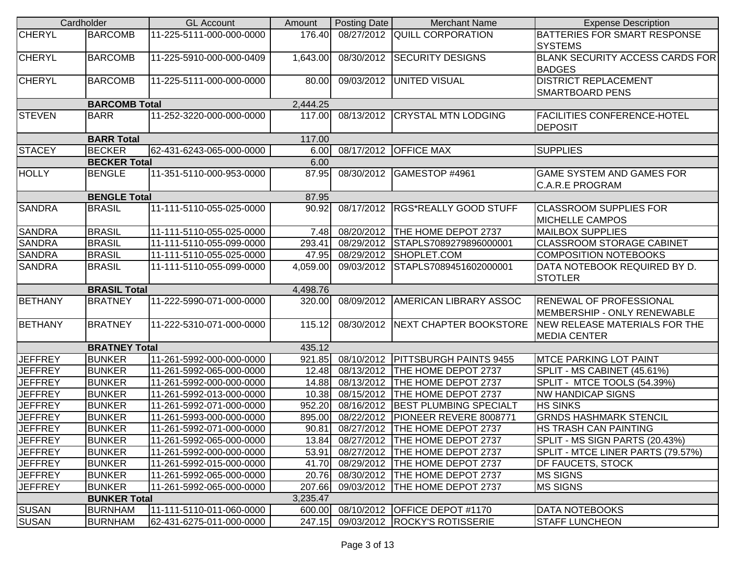| Cardholder     |                      | <b>GL Account</b>        | Amount   | Posting Date | <b>Merchant Name</b>                 | <b>Expense Description</b>                                    |
|----------------|----------------------|--------------------------|----------|--------------|--------------------------------------|---------------------------------------------------------------|
| <b>CHERYL</b>  | <b>BARCOMB</b>       | 11-225-5111-000-000-0000 | 176.40   |              | 08/27/2012 QUILL CORPORATION         | BATTERIES FOR SMART RESPONSE<br><b>SYSTEMS</b>                |
| <b>CHERYL</b>  | <b>BARCOMB</b>       | 11-225-5910-000-000-0409 | 1,643.00 |              | 08/30/2012 SECURITY DESIGNS          | BLANK SECURITY ACCESS CARDS FOR<br><b>BADGES</b>              |
| <b>CHERYL</b>  | <b>BARCOMB</b>       | 11-225-5111-000-000-0000 | 80.00    |              | 09/03/2012 UNITED VISUAL             | <b>DISTRICT REPLACEMENT</b><br><b>SMARTBOARD PENS</b>         |
|                | <b>BARCOMB Total</b> |                          | 2,444.25 |              |                                      |                                                               |
| <b>STEVEN</b>  | <b>BARR</b>          | 11-252-3220-000-000-0000 | 117.00   |              | 08/13/2012 CRYSTAL MTN LODGING       | <b>FACILITIES CONFERENCE-HOTEL</b><br><b>DEPOSIT</b>          |
|                | <b>BARR Total</b>    |                          | 117.00   |              |                                      |                                                               |
| <b>STACEY</b>  | <b>BECKER</b>        | 62-431-6243-065-000-0000 | 6.00     |              | 08/17/2012 OFFICE MAX                | <b>SUPPLIES</b>                                               |
|                | <b>BECKER Total</b>  |                          | 6.00     |              |                                      |                                                               |
| <b>HOLLY</b>   | <b>BENGLE</b>        | 11-351-5110-000-953-0000 | 87.95    | 08/30/2012   | GAMESTOP #4961                       | <b>GAME SYSTEM AND GAMES FOR</b><br><b>C.A.R.E PROGRAM</b>    |
|                | <b>BENGLE Total</b>  |                          | 87.95    |              |                                      |                                                               |
| <b>SANDRA</b>  | <b>BRASIL</b>        | 11-111-5110-055-025-0000 | 90.92    |              | 08/17/2012 RGS*REALLY GOOD STUFF     | <b>CLASSROOM SUPPLIES FOR</b><br><b>MICHELLE CAMPOS</b>       |
| <b>SANDRA</b>  | <b>BRASIL</b>        | 11-111-5110-055-025-0000 | 7.48     |              | 08/20/2012 THE HOME DEPOT 2737       | <b>MAILBOX SUPPLIES</b>                                       |
| <b>SANDRA</b>  | <b>BRASIL</b>        | 11-111-5110-055-099-0000 | 293.41   | 08/29/2012   | STAPLS7089279896000001               | <b>CLASSROOM STORAGE CABINET</b>                              |
| <b>SANDRA</b>  | <b>BRASIL</b>        | 11-111-5110-055-025-0000 | 47.95    | 08/29/2012   | SHOPLET.COM                          | <b>COMPOSITION NOTEBOOKS</b>                                  |
| <b>SANDRA</b>  | <b>BRASIL</b>        | 11-111-5110-055-099-0000 | 4,059.00 |              | 09/03/2012 STAPLS7089451602000001    | DATA NOTEBOOK REQUIRED BY D.<br><b>STOTLER</b>                |
|                | <b>BRASIL Total</b>  |                          | 4,498.76 |              |                                      |                                                               |
| <b>BETHANY</b> | <b>BRATNEY</b>       | 11-222-5990-071-000-0000 | 320.00   | 08/09/2012   | <b>AMERICAN LIBRARY ASSOC</b>        | <b>RENEWAL OF PROFESSIONAL</b><br>MEMBERSHIP - ONLY RENEWABLE |
| <b>BETHANY</b> | <b>BRATNEY</b>       | 11-222-5310-071-000-0000 | 115.12   | 08/30/2012   | <b>NEXT CHAPTER BOOKSTORE</b>        | NEW RELEASE MATERIALS FOR THE<br><b>MEDIA CENTER</b>          |
|                | <b>BRATNEY Total</b> |                          | 435.12   |              |                                      |                                                               |
| <b>JEFFREY</b> | <b>BUNKER</b>        | 11-261-5992-000-000-0000 | 921.85   |              | 08/10/2012   PITTSBURGH PAINTS 9455  | <b>MTCE PARKING LOT PAINT</b>                                 |
| <b>JEFFREY</b> | <b>BUNKER</b>        | 11-261-5992-065-000-0000 | 12.48    |              | 08/13/2012   THE HOME DEPOT 2737     | SPLIT - MS CABINET (45.61%)                                   |
| <b>JEFFREY</b> | <b>BUNKER</b>        | 11-261-5992-000-000-0000 | 14.88    | 08/13/2012   | THE HOME DEPOT 2737                  | SPLIT - MTCE TOOLS (54.39%)                                   |
| <b>JEFFREY</b> | <b>BUNKER</b>        | 11-261-5992-013-000-0000 | 10.38    | 08/15/2012   | THE HOME DEPOT 2737                  | <b>NW HANDICAP SIGNS</b>                                      |
| <b>JEFFREY</b> | <b>BUNKER</b>        | 11-261-5992-071-000-0000 | 952.20   | 08/16/2012   | <b>BEST PLUMBING SPECIALT</b>        | <b>HS SINKS</b>                                               |
| <b>JEFFREY</b> | <b>BUNKER</b>        | 11-261-5993-000-000-0000 | 895.00   | 08/22/2012   | PIONEER REVERE 8008771               | <b>GRNDS HASHMARK STENCIL</b>                                 |
| <b>JEFFREY</b> | <b>BUNKER</b>        | 11-261-5992-071-000-0000 |          |              | 90.81 08/27/2012 THE HOME DEPOT 2737 | <b>HS TRASH CAN PAINTING</b>                                  |
| <b>JEFFREY</b> | <b>BUNKER</b>        | 11-261-5992-065-000-0000 |          |              | 13.84 08/27/2012 THE HOME DEPOT 2737 | SPLIT - MS SIGN PARTS (20.43%)                                |
| <b>JEFFREY</b> | <b>BUNKER</b>        | 11-261-5992-000-000-0000 | 53.91    |              | 08/27/2012 THE HOME DEPOT 2737       | SPLIT - MTCE LINER PARTS (79.57%)                             |
| <b>JEFFREY</b> | <b>BUNKER</b>        | 11-261-5992-015-000-0000 | 41.70    | 08/29/2012   | THE HOME DEPOT 2737                  | DF FAUCETS, STOCK                                             |
| <b>JEFFREY</b> | <b>BUNKER</b>        | 11-261-5992-065-000-0000 | 20.76    |              | 08/30/2012  THE HOME DEPOT 2737      | <b>MS SIGNS</b>                                               |
| <b>JEFFREY</b> | <b>BUNKER</b>        | 11-261-5992-065-000-0000 | 207.66   |              | 09/03/2012  THE HOME DEPOT 2737      | <b>MS SIGNS</b>                                               |
|                | <b>BUNKER Total</b>  |                          | 3,235.47 |              |                                      |                                                               |
| <b>SUSAN</b>   | <b>BURNHAM</b>       | 11-111-5110-011-060-0000 |          |              | 600.00 08/10/2012 OFFICE DEPOT #1170 | <b>DATA NOTEBOOKS</b>                                         |
| <b>SUSAN</b>   | <b>BURNHAM</b>       | 62-431-6275-011-000-0000 | 247.15   |              | 09/03/2012 ROCKY'S ROTISSERIE        | <b>STAFF LUNCHEON</b>                                         |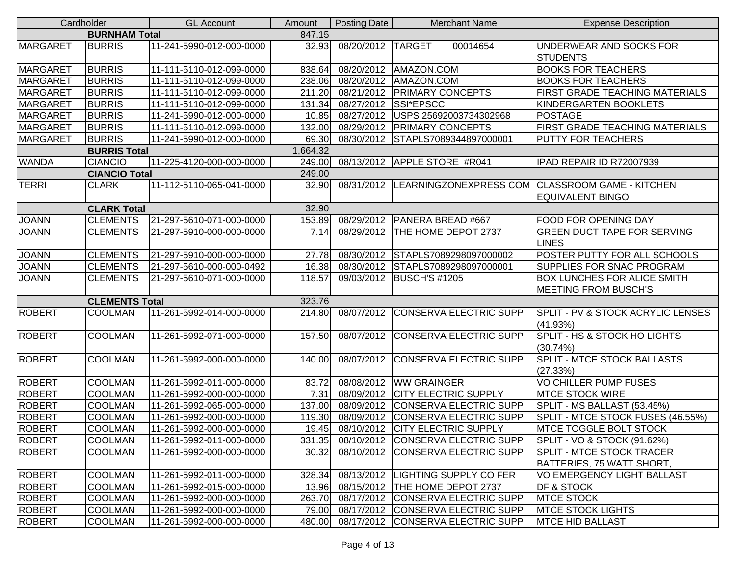|                 | Cardholder            | <b>GL Account</b>        | Amount   | <b>Posting Date</b> | <b>Merchant Name</b>                     | <b>Expense Description</b>                                                            |
|-----------------|-----------------------|--------------------------|----------|---------------------|------------------------------------------|---------------------------------------------------------------------------------------|
|                 | <b>BURNHAM Total</b>  |                          | 847.15   |                     |                                          |                                                                                       |
| <b>MARGARET</b> | <b>BURRIS</b>         | 11-241-5990-012-000-0000 | 32.93    | 08/20/2012 TARGET   | 00014654                                 | UNDERWEAR AND SOCKS FOR<br><b>STUDENTS</b>                                            |
| <b>MARGARET</b> | <b>BURRIS</b>         | 11-111-5110-012-099-0000 | 838.64   |                     | 08/20/2012   AMAZON.COM                  | <b>BOOKS FOR TEACHERS</b>                                                             |
| <b>MARGARET</b> | <b>BURRIS</b>         | 11-111-5110-012-099-0000 | 238.06   |                     | 08/20/2012 AMAZON.COM                    | <b>BOOKS FOR TEACHERS</b>                                                             |
| <b>MARGARET</b> | <b>BURRIS</b>         | 11-111-5110-012-099-0000 | 211.20   |                     | 08/21/2012 PRIMARY CONCEPTS              | FIRST GRADE TEACHING MATERIALS                                                        |
| <b>MARGARET</b> | <b>BURRIS</b>         | 11-111-5110-012-099-0000 | 131.34   |                     | 08/27/2012 SSI*EPSCC                     | KINDERGARTEN BOOKLETS                                                                 |
| <b>MARGARET</b> | <b>BURRIS</b>         | 11-241-5990-012-000-0000 | 10.85    |                     | 08/27/2012 USPS 25692003734302968        | <b>POSTAGE</b>                                                                        |
| <b>MARGARET</b> | <b>BURRIS</b>         | 11-111-5110-012-099-0000 | 132.00   |                     | 08/29/2012 PRIMARY CONCEPTS              | FIRST GRADE TEACHING MATERIALS                                                        |
| <b>MARGARET</b> | <b>BURRIS</b>         | 11-241-5990-012-000-0000 | 69.30    |                     | 08/30/2012 STAPLS7089344897000001        | <b>PUTTY FOR TEACHERS</b>                                                             |
|                 | <b>BURRIS Total</b>   |                          | 1,664.32 |                     |                                          |                                                                                       |
| <b>WANDA</b>    | <b>CIANCIO</b>        | 11-225-4120-000-000-0000 | 249.00   |                     | 08/13/2012 APPLE STORE #R041             | IPAD REPAIR ID R72007939                                                              |
|                 | <b>CIANCIO Total</b>  |                          | 249.00   |                     |                                          |                                                                                       |
| <b>TERRI</b>    | <b>CLARK</b>          | 11-112-5110-065-041-0000 | 32.90    |                     |                                          | 08/31/2012 LEARNINGZONEXPRESS COM CLASSROOM GAME - KITCHEN<br><b>EQUIVALENT BINGO</b> |
|                 | <b>CLARK Total</b>    |                          | 32.90    |                     |                                          |                                                                                       |
| <b>JOANN</b>    | <b>CLEMENTS</b>       | 21-297-5610-071-000-0000 | 153.89   |                     | 08/29/2012 PANERA BREAD #667             | <b>FOOD FOR OPENING DAY</b>                                                           |
| <b>JOANN</b>    | <b>CLEMENTS</b>       | 21-297-5910-000-000-0000 | 7.14     |                     | 08/29/2012  THE HOME DEPOT 2737          | <b>GREEN DUCT TAPE FOR SERVING</b><br><b>LINES</b>                                    |
| <b>JOANN</b>    | <b>CLEMENTS</b>       | 21-297-5910-000-000-0000 | 27.78    | 08/30/2012          | STAPLS7089298097000002                   | POSTER PUTTY FOR ALL SCHOOLS                                                          |
| <b>JOANN</b>    | <b>CLEMENTS</b>       | 21-297-5610-000-000-0492 | 16.38    |                     | 08/30/2012 STAPLS7089298097000001        | <b>SUPPLIES FOR SNAC PROGRAM</b>                                                      |
| <b>JOANN</b>    | <b>CLEMENTS</b>       | 21-297-5610-071-000-0000 | 118.57   |                     | 09/03/2012 BUSCH'S #1205                 | <b>BOX LUNCHES FOR ALICE SMITH</b><br><b>MEETING FROM BUSCH'S</b>                     |
|                 | <b>CLEMENTS Total</b> |                          | 323.76   |                     |                                          |                                                                                       |
| <b>ROBERT</b>   | <b>COOLMAN</b>        | 11-261-5992-014-000-0000 | 214.80   | 08/07/2012          | <b>CONSERVA ELECTRIC SUPP</b>            | <b>SPLIT - PV &amp; STOCK ACRYLIC LENSES</b><br>(41.93%)                              |
| <b>ROBERT</b>   | <b>COOLMAN</b>        | 11-261-5992-071-000-0000 | 157.50   |                     | 08/07/2012 CONSERVA ELECTRIC SUPP        | SPLIT - HS & STOCK HO LIGHTS<br>(30.74%)                                              |
| <b>ROBERT</b>   | <b>COOLMAN</b>        | 11-261-5992-000-000-0000 | 140.00   |                     | 08/07/2012 CONSERVA ELECTRIC SUPP        | <b>SPLIT - MTCE STOCK BALLASTS</b><br>(27.33%)                                        |
| <b>ROBERT</b>   | <b>COOLMAN</b>        | 11-261-5992-011-000-0000 | 83.72    | 08/08/2012          | <b>WW GRAINGER</b>                       | VO CHILLER PUMP FUSES                                                                 |
| <b>ROBERT</b>   | <b>COOLMAN</b>        | 11-261-5992-000-000-0000 | 7.31     |                     | 08/09/2012 CITY ELECTRIC SUPPLY          | <b>MTCE STOCK WIRE</b>                                                                |
| ROBERT          | <b>COOLMAN</b>        | 11-261-5992-065-000-0000 | 137.00   |                     | 08/09/2012 CONSERVA ELECTRIC SUPP        | SPLIT - MS BALLAST (53.45%)                                                           |
| <b>ROBERT</b>   | <b>COOLMAN</b>        | 11-261-5992-000-000-0000 | 119.30   |                     | 08/09/2012 CONSERVA ELECTRIC SUPP        | SPLIT - MTCE STOCK FUSES (46.55%)                                                     |
| <b>ROBERT</b>   | <b>COOLMAN</b>        | 11-261-5992-000-000-0000 | 19.45    |                     | 08/10/2012 CITY ELECTRIC SUPPLY          | <b>IMTCE TOGGLE BOLT STOCK</b>                                                        |
| <b>ROBERT</b>   | <b>COOLMAN</b>        | 11-261-5992-011-000-0000 |          |                     | 331.35 08/10/2012 CONSERVA ELECTRIC SUPP | SPLIT - VO & STOCK (91.62%)                                                           |
| <b>ROBERT</b>   | <b>COOLMAN</b>        | 11-261-5992-000-000-0000 | 30.32    |                     | 08/10/2012 CONSERVA ELECTRIC SUPP        | SPLIT - MTCE STOCK TRACER<br>BATTERIES, 75 WATT SHORT,                                |
| <b>ROBERT</b>   | <b>COOLMAN</b>        | 11-261-5992-011-000-0000 | 328.34   |                     | 08/13/2012   LIGHTING SUPPLY CO FER      | VO EMERGENCY LIGHT BALLAST                                                            |
| <b>ROBERT</b>   | <b>COOLMAN</b>        | 11-261-5992-015-000-0000 | 13.96    |                     | 08/15/2012   THE HOME DEPOT 2737         | <b>DF &amp; STOCK</b>                                                                 |
| <b>ROBERT</b>   | <b>COOLMAN</b>        | 11-261-5992-000-000-0000 | 263.70   |                     | 08/17/2012 CONSERVA ELECTRIC SUPP        | <b>MTCE STOCK</b>                                                                     |
| <b>ROBERT</b>   | <b>COOLMAN</b>        | 11-261-5992-000-000-0000 | 79.00    |                     | 08/17/2012 CONSERVA ELECTRIC SUPP        | <b>MTCE STOCK LIGHTS</b>                                                              |
| <b>ROBERT</b>   | <b>COOLMAN</b>        | 11-261-5992-000-000-0000 | 480.00   |                     | 08/17/2012 CONSERVA ELECTRIC SUPP        | <b>MTCE HID BALLAST</b>                                                               |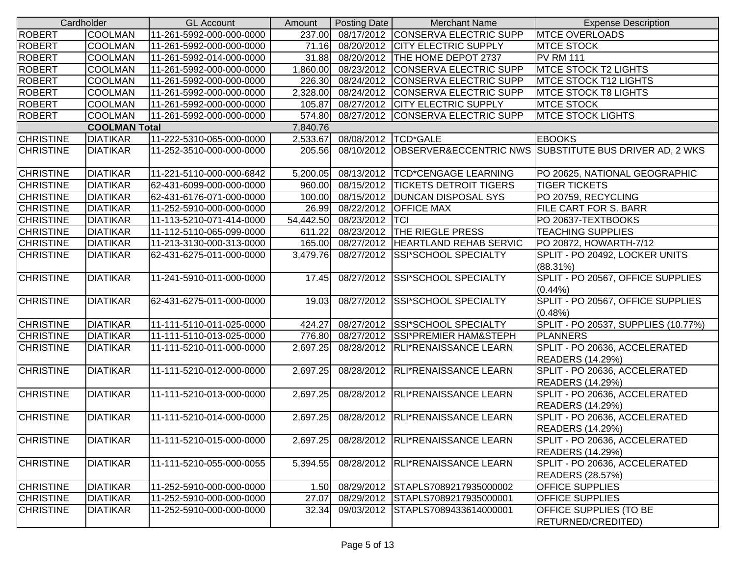|                  | Cardholder           | <b>GL Account</b>        | Amount   | Posting Date             | <b>Merchant Name</b>                       | <b>Expense Description</b>                                        |
|------------------|----------------------|--------------------------|----------|--------------------------|--------------------------------------------|-------------------------------------------------------------------|
| <b>ROBERT</b>    | <b>COOLMAN</b>       | 11-261-5992-000-000-0000 | 237.00   |                          | 08/17/2012 CONSERVA ELECTRIC SUPP          | <b>MTCE OVERLOADS</b>                                             |
| <b>ROBERT</b>    | <b>COOLMAN</b>       | 11-261-5992-000-000-0000 | 71.16    |                          | 08/20/2012 CITY ELECTRIC SUPPLY            | <b>MTCE STOCK</b>                                                 |
| <b>ROBERT</b>    | <b>COOLMAN</b>       | 11-261-5992-014-000-0000 | 31.88    |                          | 08/20/2012  THE HOME DEPOT 2737            | <b>PV RM 111</b>                                                  |
| <b>ROBERT</b>    | <b>COOLMAN</b>       | 11-261-5992-000-000-0000 |          |                          | 1,860.00 08/23/2012 CONSERVA ELECTRIC SUPP | <b>MTCE STOCK T2 LIGHTS</b>                                       |
| <b>ROBERT</b>    | <b>COOLMAN</b>       | 11-261-5992-000-000-0000 |          |                          | 226.30 08/24/2012 CONSERVA ELECTRIC SUPP   | <b>MTCE STOCK T12 LIGHTS</b>                                      |
| <b>ROBERT</b>    | <b>COOLMAN</b>       | 11-261-5992-000-000-0000 | 2,328.00 |                          | 08/24/2012 CONSERVA ELECTRIC SUPP          | <b>MTCE STOCK T8 LIGHTS</b>                                       |
| <b>ROBERT</b>    | <b>COOLMAN</b>       | 11-261-5992-000-000-0000 | 105.87   |                          | 08/27/2012 CITY ELECTRIC SUPPLY            | <b>MTCE STOCK</b>                                                 |
| ROBERT           | <b>COOLMAN</b>       | 11-261-5992-000-000-0000 |          |                          | 574.80 08/27/2012 CONSERVA ELECTRIC SUPP   | <b>MTCE STOCK LIGHTS</b>                                          |
|                  | <b>COOLMAN Total</b> |                          | 7,840.76 |                          |                                            |                                                                   |
| <b>CHRISTINE</b> | <b>DIATIKAR</b>      | 11-222-5310-065-000-0000 | 2,533.67 | 08/08/2012 TCD*GALE      |                                            | <b>EBOOKS</b>                                                     |
| <b>CHRISTINE</b> | <b>DIATIKAR</b>      | 11-252-3510-000-000-0000 | 205.56   |                          |                                            | 08/10/2012 OBSERVER&ECCENTRIC NWS SUBSTITUTE BUS DRIVER AD, 2 WKS |
| <b>CHRISTINE</b> | <b>DIATIKAR</b>      | 11-221-5110-000-000-6842 | 5,200.05 |                          | 08/13/2012  TCD*CENGAGE LEARNING           | PO 20625, NATIONAL GEOGRAPHIC                                     |
| <b>CHRISTINE</b> | <b>DIATIKAR</b>      | 62-431-6099-000-000-0000 | 960.00   |                          | 08/15/2012   TICKETS DETROIT TIGERS        | <b>TIGER TICKETS</b>                                              |
| <b>CHRISTINE</b> | <b>DIATIKAR</b>      | 62-431-6176-071-000-0000 | 100.00   |                          | 08/15/2012   DUNCAN DISPOSAL SYS           | PO 20759, RECYCLING                                               |
| <b>CHRISTINE</b> | <b>DIATIKAR</b>      | 11-252-5910-000-000-0000 | 26.99    |                          | 08/22/2012 OFFICE MAX                      | FILE CART FOR S. BARR                                             |
| <b>CHRISTINE</b> | <b>DIATIKAR</b>      | 11-113-5210-071-414-0000 |          | 54,442.50 08/23/2012 TCI |                                            | PO 20637-TEXTBOOKS                                                |
| <b>CHRISTINE</b> | <b>DIATIKAR</b>      | 11-112-5110-065-099-0000 | 611.22   |                          | 08/23/2012 THE RIEGLE PRESS                | <b>TEACHING SUPPLIES</b>                                          |
| <b>CHRISTINE</b> | <b>DIATIKAR</b>      | 11-213-3130-000-313-0000 |          |                          | 165.00 08/27/2012 HEARTLAND REHAB SERVIC   | PO 20872, HOWARTH-7/12                                            |
| <b>CHRISTINE</b> | <b>DIATIKAR</b>      | 62-431-6275-011-000-0000 | 3,479.76 |                          | 08/27/2012 SSI*SCHOOL SPECIALTY            | SPLIT - PO 20492, LOCKER UNITS<br>$(88.31\%)$                     |
| <b>CHRISTINE</b> | <b>DIATIKAR</b>      | 11-241-5910-011-000-0000 | 17.45    |                          | 08/27/2012 SSI*SCHOOL SPECIALTY            | SPLIT - PO 20567, OFFICE SUPPLIES<br>$(0.44\%)$                   |
| <b>CHRISTINE</b> | <b>DIATIKAR</b>      | 62-431-6275-011-000-0000 | 19.03    |                          | 08/27/2012 SSI*SCHOOL SPECIALTY            | SPLIT - PO 20567, OFFICE SUPPLIES<br>$(0.48\%)$                   |
| <b>CHRISTINE</b> | <b>DIATIKAR</b>      | 11-111-5110-011-025-0000 | 424.27   |                          | 08/27/2012 SSI*SCHOOL SPECIALTY            | SPLIT - PO 20537, SUPPLIES (10.77%)                               |
| <b>CHRISTINE</b> | <b>DIATIKAR</b>      | 11-111-5110-013-025-0000 | 776.80   |                          | 08/27/2012 SSI*PREMIER HAM&STEPH           | <b>PLANNERS</b>                                                   |
| <b>CHRISTINE</b> | <b>DIATIKAR</b>      | 11-111-5210-011-000-0000 | 2,697.25 |                          | 08/28/2012   RLI*RENAISSANCE LEARN         | SPLIT - PO 20636, ACCELERATED<br><b>READERS (14.29%)</b>          |
| <b>CHRISTINE</b> | <b>DIATIKAR</b>      | 11-111-5210-012-000-0000 | 2,697.25 |                          | 08/28/2012 RLI*RENAISSANCE LEARN           | SPLIT - PO 20636, ACCELERATED<br><b>READERS (14.29%)</b>          |
| <b>CHRISTINE</b> | <b>DIATIKAR</b>      | 11-111-5210-013-000-0000 | 2,697.25 |                          | 08/28/2012 RLI*RENAISSANCE LEARN           | SPLIT - PO 20636, ACCELERATED<br><b>READERS (14.29%)</b>          |
| <b>CHRISTINE</b> | <b>DIATIKAR</b>      | 11-111-5210-014-000-0000 | 2,697.25 |                          | 08/28/2012 RLI*RENAISSANCE LEARN           | SPLIT - PO 20636, ACCELERATED<br><b>READERS (14.29%)</b>          |
| <b>CHRISTINE</b> | <b>DIATIKAR</b>      | 11-111-5210-015-000-0000 | 2,697.25 |                          | 08/28/2012 RLI*RENAISSANCE LEARN           | SPLIT - PO 20636, ACCELERATED<br><b>READERS (14.29%)</b>          |
| <b>CHRISTINE</b> | <b>DIATIKAR</b>      | 11-111-5210-055-000-0055 | 5,394.55 |                          | 08/28/2012 RLI*RENAISSANCE LEARN           | SPLIT - PO 20636, ACCELERATED<br><b>READERS (28.57%)</b>          |
| <b>CHRISTINE</b> | <b>DIATIKAR</b>      | 11-252-5910-000-000-0000 | 1.50     |                          | 08/29/2012 STAPLS7089217935000002          | <b>OFFICE SUPPLIES</b>                                            |
| <b>CHRISTINE</b> | <b>DIATIKAR</b>      | 11-252-5910-000-000-0000 | 27.07    |                          | 08/29/2012 STAPLS7089217935000001          | <b>OFFICE SUPPLIES</b>                                            |
| <b>CHRISTINE</b> | <b>DIATIKAR</b>      | 11-252-5910-000-000-0000 | 32.34    |                          | 09/03/2012 STAPLS7089433614000001          | OFFICE SUPPLIES (TO BE<br>RETURNED/CREDITED)                      |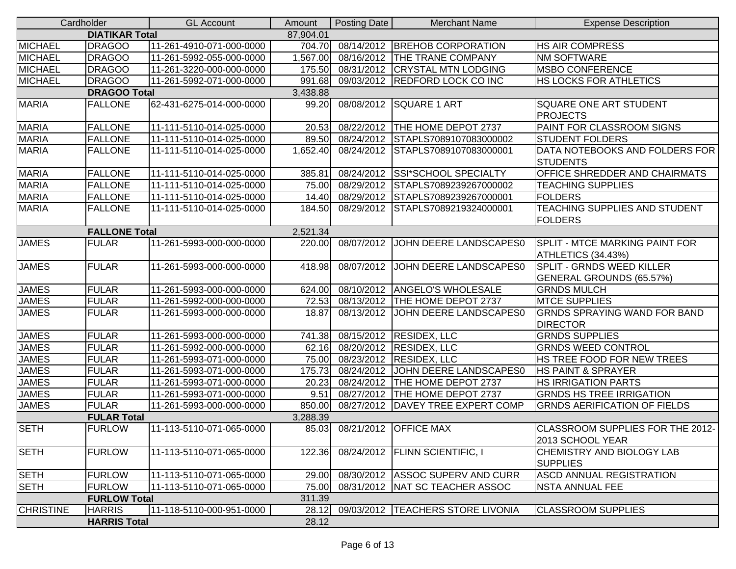|                  | Cardholder            | <b>GL Account</b>         | Amount    | <b>Posting Date</b> | <b>Merchant Name</b>               | <b>Expense Description</b>                           |
|------------------|-----------------------|---------------------------|-----------|---------------------|------------------------------------|------------------------------------------------------|
|                  | <b>DIATIKAR Total</b> |                           | 87,904.01 |                     |                                    |                                                      |
| <b>MICHAEL</b>   | <b>DRAGOO</b>         | 11-261-4910-071-000-0000  | 704.70    |                     | 08/14/2012 BREHOB CORPORATION      | <b>HS AIR COMPRESS</b>                               |
| <b>MICHAEL</b>   | <b>DRAGOO</b>         | 11-261-5992-055-000-0000  | 1,567.00  |                     | 08/16/2012  THE TRANE COMPANY      | <b>NM SOFTWARE</b>                                   |
| <b>MICHAEL</b>   | <b>DRAGOO</b>         | 11-261-3220-000-000-0000  | 175.50    |                     | 08/31/2012 CRYSTAL MTN LODGING     | <b>MSBO CONFERENCE</b>                               |
| <b>MICHAEL</b>   | <b>DRAGOO</b>         | 11-261-5992-071-000-0000  | 991.68    |                     | 09/03/2012 REDFORD LOCK CO INC     | HS LOCKS FOR ATHLETICS                               |
|                  | <b>DRAGOO Total</b>   |                           | 3,438.88  |                     |                                    |                                                      |
| <b>MARIA</b>     | <b>FALLONE</b>        | 62-431-6275-014-000-0000  | 99.20     |                     | 08/08/2012 SQUARE 1 ART            | <b>SQUARE ONE ART STUDENT</b>                        |
|                  |                       |                           |           |                     |                                    | <b>PROJECTS</b>                                      |
| <b>MARIA</b>     | <b>FALLONE</b>        | 11-111-5110-014-025-0000  | 20.53     | 08/22/2012          | THE HOME DEPOT 2737                | PAINT FOR CLASSROOM SIGNS                            |
| <b>MARIA</b>     | <b>FALLONE</b>        | 11-111-5110-014-025-0000  | 89.50     | 08/24/2012          | STAPLS7089107083000002             | <b>STUDENT FOLDERS</b>                               |
| <b>MARIA</b>     | <b>FALLONE</b>        | 11-111-5110-014-025-0000  | 1,652.40  | 08/24/2012          | STAPLS7089107083000001             | DATA NOTEBOOKS AND FOLDERS FOR                       |
| <b>MARIA</b>     | <b>FALLONE</b>        | 11-111-5110-014-025-0000  | 385.81    | 08/24/2012          | <b>SSI*SCHOOL SPECIALTY</b>        | <b>STUDENTS</b><br>OFFICE SHREDDER AND CHAIRMATS     |
| <b>MARIA</b>     | <b>FALLONE</b>        | 11-111-5110-014-025-0000  | 75.00     | 08/29/2012          | STAPLS7089239267000002             | <b>TEACHING SUPPLIES</b>                             |
| <b>MARIA</b>     | <b>FALLONE</b>        | 11-111-5110-014-025-0000  | 14.40     | 08/29/2012          | STAPLS7089239267000001             | FOLDERS                                              |
| <b>MARIA</b>     | <b>FALLONE</b>        | 11-111-5110-014-025-0000  | 184.50    |                     | 08/29/2012 STAPLS7089219324000001  | TEACHING SUPPLIES AND STUDENT                        |
|                  |                       |                           |           |                     |                                    | <b>FOLDERS</b>                                       |
|                  | <b>FALLONE Total</b>  |                           | 2,521.34  |                     |                                    |                                                      |
| <b>JAMES</b>     | <b>FULAR</b>          | 11-261-5993-000-000-0000  | 220.00    | 08/07/2012          | JOHN DEERE LANDSCAPES0             | <b>SPLIT - MTCE MARKING PAINT FOR</b>                |
|                  |                       |                           |           |                     |                                    | ATHLETICS (34.43%)                                   |
| <b>JAMES</b>     | <b>FULAR</b>          | 11-261-5993-000-000-0000  | 418.98    |                     | 08/07/2012 JOHN DEERE LANDSCAPES0  | <b>SPLIT - GRNDS WEED KILLER</b>                     |
|                  |                       |                           |           |                     |                                    | GENERAL GROUNDS (65.57%)                             |
| <b>JAMES</b>     | <b>FULAR</b>          | 11-261-5993-000-000-0000  | 624.00    |                     | 08/10/2012 ANGELO'S WHOLESALE      | <b>GRNDS MULCH</b>                                   |
| <b>JAMES</b>     | <b>FULAR</b>          | 11-261-5992-000-000-0000  | 72.53     | 08/13/2012          | THE HOME DEPOT 2737                | <b>MTCE SUPPLIES</b>                                 |
| <b>JAMES</b>     | <b>FULAR</b>          | 11-261-5993-000-000-0000  | 18.87     | 08/13/2012          | JOHN DEERE LANDSCAPES0             | <b>GRNDS SPRAYING WAND FOR BAND</b>                  |
|                  |                       |                           |           |                     |                                    | <b>DIRECTOR</b>                                      |
| <b>JAMES</b>     | <b>FULAR</b>          | 11-261-5993-000-000-0000  | 741.38    |                     | 08/15/2012 RESIDEX, LLC            | <b>GRNDS SUPPLIES</b>                                |
| <b>JAMES</b>     | <b>FULAR</b>          | 11-261-5992-000-000-0000  | 62.16     |                     | 08/20/2012 RESIDEX, LLC            | <b>GRNDS WEED CONTROL</b>                            |
| <b>JAMES</b>     | <b>FULAR</b>          | 11-261-5993-071-000-0000  | 75.00     |                     | 08/23/2012 RESIDEX, LLC            | HS TREE FOOD FOR NEW TREES                           |
| <b>JAMES</b>     | <b>FULAR</b>          | 11-261-5993-071-000-0000  | 175.73    | 08/24/2012          | JOHN DEERE LANDSCAPES0             | <b>HS PAINT &amp; SPRAYER</b>                        |
| <b>JAMES</b>     | <b>FULAR</b>          | 11-261-5993-071-000-0000  | 20.23     | 08/24/2012          | <b>THE HOME DEPOT 2737</b>         | <b>HS IRRIGATION PARTS</b>                           |
| <b>JAMES</b>     | <b>FULAR</b>          | 11-261-5993-071-000-0000  | 9.51      |                     | 08/27/2012  THE HOME DEPOT 2737    | <b>GRNDS HS TREE IRRIGATION</b>                      |
| <b>JAMES</b>     | <b>FULAR</b>          | 11-261-5993-000-000-0000  | 850.00    | 08/27/2012          | DAVEY TREE EXPERT COMP             | <b>GRNDS AERIFICATION OF FIELDS</b>                  |
|                  | <b>FULAR Total</b>    |                           | 3,288.39  |                     |                                    |                                                      |
| <b>SETH</b>      | <b>FURLOW</b>         | 111-113-5110-071-065-0000 |           |                     | 85.03 08/21/2012 OFFICE MAX        | CLASSROOM SUPPLIES FOR THE 2012-<br>2013 SCHOOL YEAR |
| <b>SETH</b>      | <b>FURLOW</b>         | 11-113-5110-071-065-0000  | 122.36    | 08/24/2012          | <b>FLINN SCIENTIFIC, I</b>         | CHEMISTRY AND BIOLOGY LAB<br><b>SUPPLIES</b>         |
| <b>SETH</b>      | <b>FURLOW</b>         | 11-113-5110-071-065-0000  | 29.00     |                     | 08/30/2012 ASSOC SUPERV AND CURR   | <b>ASCD ANNUAL REGISTRATION</b>                      |
| <b>SETH</b>      | <b>FURLOW</b>         | 11-113-5110-071-065-0000  | 75.00     |                     | 08/31/2012   NAT SC TEACHER ASSOC  | <b>NSTA ANNUAL FEE</b>                               |
|                  | <b>FURLOW Total</b>   |                           | 311.39    |                     |                                    |                                                      |
| <b>CHRISTINE</b> | <b>HARRIS</b>         | 11-118-5110-000-951-0000  | 28.12     |                     | 09/03/2012  TEACHERS STORE LIVONIA | <b>CLASSROOM SUPPLIES</b>                            |
|                  | <b>HARRIS Total</b>   |                           | 28.12     |                     |                                    |                                                      |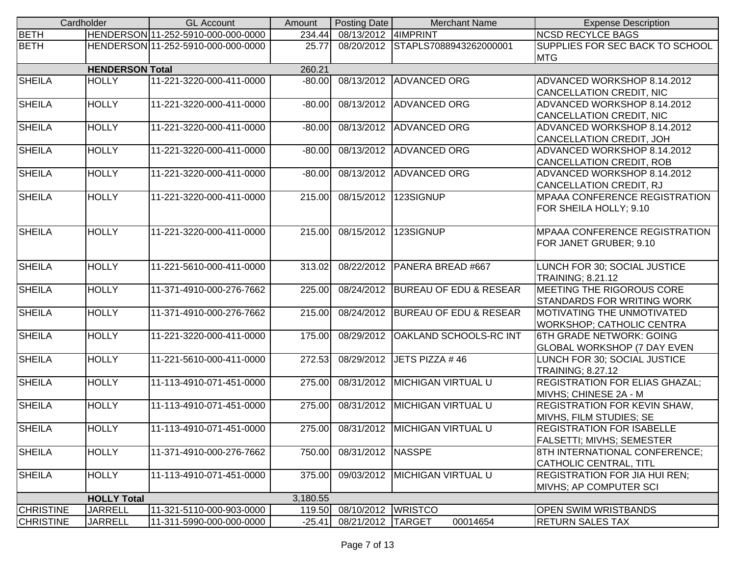|                  | Cardholder             | <b>GL Account</b>                  | Amount   | Posting Date         | <b>Merchant Name</b>              | <b>Expense Description</b>                                        |
|------------------|------------------------|------------------------------------|----------|----------------------|-----------------------------------|-------------------------------------------------------------------|
| <b>BETH</b>      |                        | HENDERSON 11-252-5910-000-000-0000 | 234.44   | 08/13/2012 4IMPRINT  |                                   | <b>NCSD RECYLCE BAGS</b>                                          |
| <b>BETH</b>      |                        | HENDERSON 11-252-5910-000-000-0000 | 25.77    |                      | 08/20/2012 STAPLS7088943262000001 | SUPPLIES FOR SEC BACK TO SCHOOL<br><b>MTG</b>                     |
|                  | <b>HENDERSON Total</b> |                                    | 260.21   |                      |                                   |                                                                   |
| <b>SHEILA</b>    | <b>HOLLY</b>           | 11-221-3220-000-411-0000           | $-80.00$ |                      | 08/13/2012 ADVANCED ORG           | ADVANCED WORKSHOP 8.14.2012                                       |
|                  |                        |                                    |          |                      |                                   | CANCELLATION CREDIT, NIC                                          |
| <b>SHEILA</b>    | <b>HOLLY</b>           | 11-221-3220-000-411-0000           | $-80.00$ |                      | 08/13/2012 ADVANCED ORG           | ADVANCED WORKSHOP 8.14.2012                                       |
|                  |                        |                                    |          |                      |                                   | CANCELLATION CREDIT, NIC                                          |
| <b>SHEILA</b>    | <b>HOLLY</b>           | 11-221-3220-000-411-0000           | $-80.00$ |                      | 08/13/2012 ADVANCED ORG           | ADVANCED WORKSHOP 8.14.2012                                       |
|                  |                        |                                    |          |                      |                                   | <b>CANCELLATION CREDIT, JOH</b>                                   |
| <b>SHEILA</b>    | <b>HOLLY</b>           | 11-221-3220-000-411-0000           | $-80.00$ |                      | 08/13/2012 ADVANCED ORG           | ADVANCED WORKSHOP 8.14.2012                                       |
|                  |                        |                                    |          |                      |                                   | CANCELLATION CREDIT, ROB                                          |
| <b>SHEILA</b>    | <b>HOLLY</b>           | 11-221-3220-000-411-0000           | $-80.00$ |                      | 08/13/2012 ADVANCED ORG           | ADVANCED WORKSHOP 8.14.2012                                       |
|                  |                        |                                    |          |                      |                                   | CANCELLATION CREDIT, RJ                                           |
| <b>SHEILA</b>    | <b>HOLLY</b>           | 11-221-3220-000-411-0000           | 215.00   | 08/15/2012           | 123SIGNUP                         | <b>MPAAA CONFERENCE REGISTRATION</b>                              |
|                  |                        |                                    |          |                      |                                   | FOR SHEILA HOLLY; 9.10                                            |
|                  | <b>HOLLY</b>           |                                    |          |                      |                                   | <b>MPAAA CONFERENCE REGISTRATION</b>                              |
| <b>SHEILA</b>    |                        | 11-221-3220-000-411-0000           | 215.00   |                      | 08/15/2012 123SIGNUP              |                                                                   |
|                  |                        |                                    |          |                      |                                   | FOR JANET GRUBER; 9.10                                            |
| <b>SHEILA</b>    | <b>HOLLY</b>           | 11-221-5610-000-411-0000           | 313.02   | 08/22/2012           | PANERA BREAD #667                 | LUNCH FOR 30; SOCIAL JUSTICE                                      |
|                  |                        |                                    |          |                      |                                   | TRAINING; 8.21.12                                                 |
| <b>SHEILA</b>    | <b>HOLLY</b>           | 11-371-4910-000-276-7662           | 225.00   |                      | 08/24/2012 BUREAU OF EDU & RESEAR | MEETING THE RIGOROUS CORE                                         |
|                  |                        |                                    |          |                      |                                   | <b>STANDARDS FOR WRITING WORK</b>                                 |
| <b>SHEILA</b>    | <b>HOLLY</b>           | 11-371-4910-000-276-7662           | 215.00   |                      | 08/24/2012 BUREAU OF EDU & RESEAR | <b>MOTIVATING THE UNMOTIVATED</b>                                 |
|                  |                        |                                    |          |                      |                                   | <b>WORKSHOP; CATHOLIC CENTRA</b>                                  |
| <b>SHEILA</b>    | <b>HOLLY</b>           | 11-221-3220-000-411-0000           | 175.00   | 08/29/2012           | <b>OAKLAND SCHOOLS-RC INT</b>     | 6TH GRADE NETWORK: GOING                                          |
|                  |                        |                                    |          |                      |                                   | <b>GLOBAL WORKSHOP (7 DAY EVEN</b>                                |
| <b>SHEILA</b>    | <b>HOLLY</b>           | 11-221-5610-000-411-0000           | 272.53   |                      | 08/29/2012 JETS PIZZA #46         | LUNCH FOR 30; SOCIAL JUSTICE                                      |
|                  |                        |                                    |          |                      |                                   | TRAINING; 8.27.12                                                 |
| <b>SHEILA</b>    | <b>HOLLY</b>           | 11-113-4910-071-451-0000           | 275.00   |                      | 08/31/2012 MICHIGAN VIRTUAL U     | <b>REGISTRATION FOR ELIAS GHAZAL:</b>                             |
|                  |                        |                                    |          |                      |                                   | MIVHS; CHINESE 2A - M                                             |
| <b>SHEILA</b>    | <b>HOLLY</b>           | 11-113-4910-071-451-0000           | 275.00   |                      | 08/31/2012 MICHIGAN VIRTUAL U     | <b>REGISTRATION FOR KEVIN SHAW,</b>                               |
|                  |                        |                                    |          |                      |                                   | MIVHS, FILM STUDIES; SE                                           |
| <b>SHEILA</b>    | <b>HOLLY</b>           | 11-113-4910-071-451-0000           | 275.00   |                      | 08/31/2012 MICHIGAN VIRTUAL U     | <b>REGISTRATION FOR ISABELLE</b>                                  |
| <b>SHEILA</b>    | <b>HOLLY</b>           | 11-371-4910-000-276-7662           | 750.00   | 08/31/2012 NASSPE    |                                   | <b>FALSETTI; MIVHS; SEMESTER</b><br>8TH INTERNATIONAL CONFERENCE; |
|                  |                        |                                    |          |                      |                                   | CATHOLIC CENTRAL, TITL                                            |
| <b>SHEILA</b>    | <b>HOLLY</b>           | 11-113-4910-071-451-0000           | 375.00   |                      | 09/03/2012   MICHIGAN VIRTUAL U   | <b>REGISTRATION FOR JIA HUI REN;</b>                              |
|                  |                        |                                    |          |                      |                                   | MIVHS; AP COMPUTER SCI                                            |
|                  | <b>HOLLY Total</b>     |                                    | 3,180.55 |                      |                                   |                                                                   |
| <b>CHRISTINE</b> | <b>JARRELL</b>         | 11-321-5110-000-903-0000           | 119.50   | 08/10/2012   WRISTCO |                                   | <b>OPEN SWIM WRISTBANDS</b>                                       |
| <b>CHRISTINE</b> | <b>JARRELL</b>         | 11-311-5990-000-000-0000           | $-25.41$ | 08/21/2012 TARGET    | 00014654                          | <b>RETURN SALES TAX</b>                                           |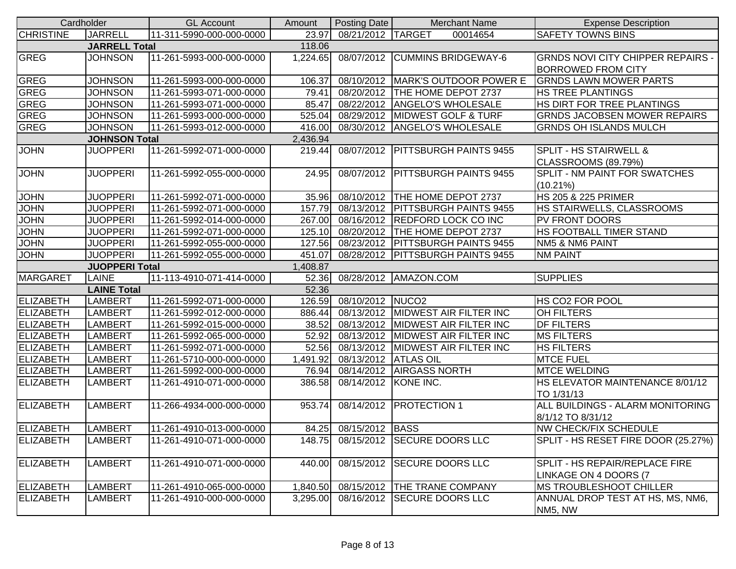| Cardholder       |                       | <b>GL Account</b>        | Amount   | Posting Date          | <b>Merchant Name</b>                 | <b>Expense Description</b>                                     |
|------------------|-----------------------|--------------------------|----------|-----------------------|--------------------------------------|----------------------------------------------------------------|
| <b>CHRISTINE</b> | <b>JARRELL</b>        | 11-311-5990-000-000-0000 | 23.97    | 08/21/2012 TARGET     | 00014654                             | <b>SAFETY TOWNS BINS</b>                                       |
|                  | <b>JARRELL Total</b>  |                          | 118.06   |                       |                                      |                                                                |
| <b>GREG</b>      | <b>JOHNSON</b>        | 11-261-5993-000-000-0000 | 1,224.65 |                       | 08/07/2012 CUMMINS BRIDGEWAY-6       | <b>GRNDS NOVI CITY CHIPPER REPAIRS -</b>                       |
|                  |                       |                          |          |                       |                                      | <b>BORROWED FROM CITY</b>                                      |
| <b>GREG</b>      | <b>JOHNSON</b>        | 11-261-5993-000-000-0000 | 106.37   |                       | 08/10/2012   MARK'S OUTDOOR POWER E  | <b>GRNDS LAWN MOWER PARTS</b>                                  |
| <b>GREG</b>      | <b>JOHNSON</b>        | 11-261-5993-071-000-0000 | 79.41    |                       | 08/20/2012   THE HOME DEPOT 2737     | <b>HS TREE PLANTINGS</b>                                       |
| <b>GREG</b>      | <b>JOHNSON</b>        | 11-261-5993-071-000-0000 | 85.47    |                       | 08/22/2012 ANGELO'S WHOLESALE        | HS DIRT FOR TREE PLANTINGS                                     |
| <b>GREG</b>      | <b>JOHNSON</b>        | 11-261-5993-000-000-0000 | 525.04   |                       | 08/29/2012 MIDWEST GOLF & TURF       | <b>GRNDS JACOBSEN MOWER REPAIRS</b>                            |
| GREG             | <b>JOHNSON</b>        | 11-261-5993-012-000-0000 | 416.00   |                       | 08/30/2012 ANGELO'S WHOLESALE        | <b>GRNDS OH ISLANDS MULCH</b>                                  |
|                  | <b>JOHNSON Total</b>  |                          | 2,436.94 |                       |                                      |                                                                |
| <b>JOHN</b>      | <b>JUOPPERI</b>       | 11-261-5992-071-000-0000 | 219.44   |                       | 08/07/2012   PITTSBURGH PAINTS 9455  | <b>SPLIT - HS STAIRWELL &amp;</b>                              |
|                  |                       |                          |          |                       |                                      | CLASSROOMS (89.79%)                                            |
| <b>JOHN</b>      | <b>JUOPPERI</b>       | 11-261-5992-055-000-0000 | 24.95    |                       | 08/07/2012   PITTSBURGH PAINTS 9455  | <b>SPLIT - NM PAINT FOR SWATCHES</b>                           |
|                  |                       |                          |          |                       |                                      | $(10.21\%)$                                                    |
| <b>JOHN</b>      | <b>JUOPPERI</b>       | 11-261-5992-071-000-0000 |          |                       | 35.96 08/10/2012 THE HOME DEPOT 2737 | <b>HS 205 &amp; 225 PRIMER</b>                                 |
| <b>JOHN</b>      | <b>JUOPPERI</b>       | 11-261-5992-071-000-0000 | 157.79   |                       | 08/13/2012 PITTSBURGH PAINTS 9455    | <b>HS STAIRWELLS, CLASSROOMS</b>                               |
| <b>JOHN</b>      | <b>JUOPPERI</b>       | 11-261-5992-014-000-0000 | 267.00   |                       | 08/16/2012 REDFORD LOCK CO INC       | <b>PV FRONT DOORS</b>                                          |
| <b>JOHN</b>      | <b>JUOPPERI</b>       | 11-261-5992-071-000-0000 | 125.10   |                       | 08/20/2012 THE HOME DEPOT 2737       | <b>HS FOOTBALL TIMER STAND</b>                                 |
| <b>JOHN</b>      | <b>JUOPPERI</b>       | 11-261-5992-055-000-0000 | 127.56   |                       | 08/23/2012   PITTSBURGH PAINTS 9455  | NM5 & NM6 PAINT                                                |
| <b>JOHN</b>      | <b>JUOPPERI</b>       | 11-261-5992-055-000-0000 | 451.07   |                       | 08/28/2012   PITTSBURGH PAINTS 9455  | <b>NM PAINT</b>                                                |
|                  | <b>JUOPPERI Total</b> |                          | 1,408.87 |                       |                                      |                                                                |
| <b>MARGARET</b>  | LAINE                 | 11-113-4910-071-414-0000 |          |                       | 52.36 08/28/2012 AMAZON.COM          | <b>SUPPLIES</b>                                                |
|                  | <b>LAINE Total</b>    |                          | 52.36    |                       |                                      |                                                                |
| <b>ELIZABETH</b> | <b>LAMBERT</b>        | 11-261-5992-071-000-0000 | 126.59   | 08/10/2012 NUCO2      |                                      | <b>HS CO2 FOR POOL</b>                                         |
| <b>ELIZABETH</b> | LAMBERT               | 11-261-5992-012-000-0000 | 886.44   |                       | 08/13/2012  MIDWEST AIR FILTER INC   | <b>OH FILTERS</b>                                              |
| <b>ELIZABETH</b> | LAMBERT               | 11-261-5992-015-000-0000 | 38.52    |                       | 08/13/2012 MIDWEST AIR FILTER INC    | <b>DF FILTERS</b>                                              |
| <b>ELIZABETH</b> | LAMBERT               | 11-261-5992-065-000-0000 | 52.92    |                       | 08/13/2012 MIDWEST AIR FILTER INC    | <b>MS FILTERS</b>                                              |
| <b>ELIZABETH</b> | LAMBERT               | 11-261-5992-071-000-0000 | 52.56    |                       | 08/13/2012 MIDWEST AIR FILTER INC    | <b>HS FILTERS</b>                                              |
| <b>ELIZABETH</b> | LAMBERT               | 11-261-5710-000-000-0000 | 1,491.92 | 08/13/2012 ATLAS OIL  |                                      | <b>MTCE FUEL</b>                                               |
| <b>ELIZABETH</b> | LAMBERT               | 11-261-5992-000-000-0000 | 76.94    |                       | 08/14/2012 AIRGASS NORTH             | <b>MTCE WELDING</b>                                            |
| <b>ELIZABETH</b> | LAMBERT               | 11-261-4910-071-000-0000 | 386.58   | 08/14/2012 KONE INC.  |                                      | HS ELEVATOR MAINTENANCE 8/01/12<br>TO 1/31/13                  |
| <b>ELIZABETH</b> | <b>LAMBERT</b>        | 11-266-4934-000-000-0000 | 953.74   |                       | 08/14/2012   PROTECTION 1            | <b>ALL BUILDINGS - ALARM MONITORING</b><br>8/1/12 TO 8/31/12   |
| <b>ELIZABETH</b> | <b>LAMBERT</b>        | 11-261-4910-013-000-0000 |          | 84.25 08/15/2012 BASS |                                      | <b>NW CHECK/FIX SCHEDULE</b>                                   |
| <b>ELIZABETH</b> | <b>LAMBERT</b>        | 11-261-4910-071-000-0000 | 148.75   |                       | 08/15/2012 SECURE DOORS LLC          | SPLIT - HS RESET FIRE DOOR (25.27%)                            |
|                  |                       |                          |          |                       |                                      |                                                                |
| ELIZABETH        | <b>LAMBERT</b>        | 11-261-4910-071-000-0000 | 440.00   |                       | 08/15/2012 SECURE DOORS LLC          | <b>SPLIT - HS REPAIR/REPLACE FIRE</b><br>LINKAGE ON 4 DOORS (7 |
| <b>ELIZABETH</b> | <b>LAMBERT</b>        | 11-261-4910-065-000-0000 | 1,840.50 |                       | 08/15/2012 THE TRANE COMPANY         | <b>MS TROUBLESHOOT CHILLER</b>                                 |
| <b>ELIZABETH</b> | <b>LAMBERT</b>        | 11-261-4910-000-000-0000 | 3,295.00 |                       | 08/16/2012 SECURE DOORS LLC          | ANNUAL DROP TEST AT HS, MS, NM6,                               |
|                  |                       |                          |          |                       |                                      | NM5, NW                                                        |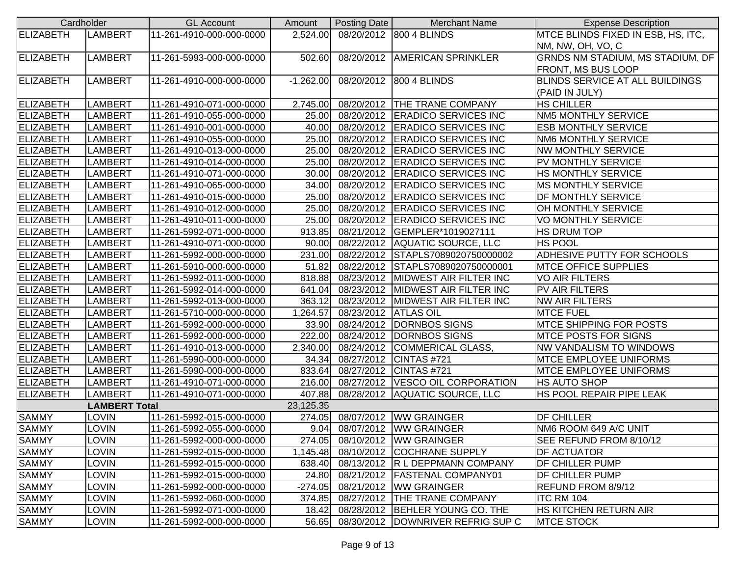| Cardholder       |                      | <b>GL Account</b>        | Amount      | Posting Date                 | <b>Merchant Name</b>                     | <b>Expense Description</b>             |
|------------------|----------------------|--------------------------|-------------|------------------------------|------------------------------------------|----------------------------------------|
| <b>ELIZABETH</b> | LAMBERT              | 11-261-4910-000-000-0000 |             |                              | 2,524.00 08/20/2012 800 4 BLINDS         | MTCE BLINDS FIXED IN ESB, HS, ITC,     |
|                  |                      |                          |             |                              |                                          | NM, NW, OH, VO, C                      |
| <b>ELIZABETH</b> | LAMBERT              | 11-261-5993-000-000-0000 | 502.60      |                              | 08/20/2012 AMERICAN SPRINKLER            | GRNDS NM STADIUM, MS STADIUM, DF       |
|                  |                      |                          |             |                              |                                          | FRONT, MS BUS LOOP                     |
| <b>ELIZABETH</b> | <b>LAMBERT</b>       | 11-261-4910-000-000-0000 | $-1,262.00$ |                              | 08/20/2012 800 4 BLINDS                  | <b>BLINDS SERVICE AT ALL BUILDINGS</b> |
|                  |                      |                          |             |                              |                                          | (PAID IN JULY)                         |
| <b>ELIZABETH</b> | LAMBERT              | 11-261-4910-071-000-0000 |             |                              | 2,745.00 08/20/2012 THE TRANE COMPANY    | <b>HS CHILLER</b>                      |
| <b>ELIZABETH</b> | <b>LAMBERT</b>       | 11-261-4910-055-000-0000 |             |                              | 25.00 08/20/2012 ERADICO SERVICES INC    | <b>NM5 MONTHLY SERVICE</b>             |
| <b>ELIZABETH</b> | LAMBERT              | 11-261-4910-001-000-0000 |             |                              | 40.00 08/20/2012 ERADICO SERVICES INC    | <b>ESB MONTHLY SERVICE</b>             |
| <b>ELIZABETH</b> | LAMBERT              | 11-261-4910-055-000-0000 |             |                              | 25.00 08/20/2012 ERADICO SERVICES INC    | <b>NM6 MONTHLY SERVICE</b>             |
| <b>ELIZABETH</b> | <b>LAMBERT</b>       | 11-261-4910-013-000-0000 | 25.00       |                              | 08/20/2012 ERADICO SERVICES INC          | <b>NW MONTHLY SERVICE</b>              |
| <b>ELIZABETH</b> | <b>LAMBERT</b>       | 11-261-4910-014-000-0000 | 25.00       |                              | 08/20/2012 ERADICO SERVICES INC          | PV MONTHLY SERVICE                     |
| <b>ELIZABETH</b> | <b>LAMBERT</b>       | 11-261-4910-071-000-0000 | 30.00       |                              | 08/20/2012 ERADICO SERVICES INC          | HS MONTHLY SERVICE                     |
| <b>ELIZABETH</b> | LAMBERT              | 11-261-4910-065-000-0000 |             |                              | 34.00 08/20/2012 ERADICO SERVICES INC    | <b>MS MONTHLY SERVICE</b>              |
| <b>ELIZABETH</b> | LAMBERT              | 11-261-4910-015-000-0000 |             |                              | 25.00 08/20/2012 ERADICO SERVICES INC    | <b>DF MONTHLY SERVICE</b>              |
| <b>ELIZABETH</b> | LAMBERT              | 11-261-4910-012-000-0000 |             |                              | 25.00 08/20/2012 ERADICO SERVICES INC    | OH MONTHLY SERVICE                     |
| <b>ELIZABETH</b> | LAMBERT              | 11-261-4910-011-000-0000 |             |                              | 25.00 08/20/2012 ERADICO SERVICES INC    | <b>VO MONTHLY SERVICE</b>              |
| <b>ELIZABETH</b> | LAMBERT              | 11-261-5992-071-000-0000 | 913.85      |                              | 08/21/2012 GEMPLER*1019027111            | <b>HS DRUM TOP</b>                     |
| <b>ELIZABETH</b> | LAMBERT              | 11-261-4910-071-000-0000 |             |                              | 90.00 08/22/2012 AQUATIC SOURCE, LLC     | <b>HS POOL</b>                         |
| <b>ELIZABETH</b> | LAMBERT              | 11-261-5992-000-000-0000 |             |                              | 231.00 08/22/2012 STAPLS7089020750000002 | ADHESIVE PUTTY FOR SCHOOLS             |
| <b>ELIZABETH</b> | LAMBERT              | 11-261-5910-000-000-0000 |             |                              | 51.82 08/22/2012 STAPLS7089020750000001  | <b>IMTCE OFFICE SUPPLIES</b>           |
| <b>ELIZABETH</b> | LAMBERT              | 11-261-5992-011-000-0000 | 818.88      |                              | 08/23/2012  MIDWEST AIR FILTER INC       | <b>VO AIR FILTERS</b>                  |
| <b>ELIZABETH</b> | LAMBERT              | 11-261-5992-014-000-0000 | 641.04      |                              | 08/23/2012 MIDWEST AIR FILTER INC        | PV AIR FILTERS                         |
| <b>ELIZABETH</b> | <b>LAMBERT</b>       | 11-261-5992-013-000-0000 | 363.12      |                              | 08/23/2012 MIDWEST AIR FILTER INC        | <b>NW AIR FILTERS</b>                  |
| <b>ELIZABETH</b> | <b>LAMBERT</b>       | 11-261-5710-000-000-0000 | 1,264.57    | 08/23/2012 ATLAS OIL         |                                          | <b>MTCE FUEL</b>                       |
| <b>ELIZABETH</b> | LAMBERT              | 11-261-5992-000-000-0000 |             |                              | 33.90 08/24/2012 DORNBOS SIGNS           | <b>MTCE SHIPPING FOR POSTS</b>         |
| <b>ELIZABETH</b> | LAMBERT              | 11-261-5992-000-000-0000 |             |                              | 222.00 08/24/2012 DORNBOS SIGNS          | <b>MTCE POSTS FOR SIGNS</b>            |
| <b>ELIZABETH</b> | LAMBERT              | 11-261-4910-013-000-0000 |             |                              | 2,340.00 08/24/2012 COMMERICAL GLASS,    | <b>NW VANDALISM TO WINDOWS</b>         |
| <b>ELIZABETH</b> | LAMBERT              | 11-261-5990-000-000-0000 |             | 34.34 08/27/2012 CINTAS #721 |                                          | <b>MTCE EMPLOYEE UNIFORMS</b>          |
| <b>ELIZABETH</b> | LAMBERT              | 11-261-5990-000-000-0000 | 833.64      |                              | 08/27/2012 CINTAS #721                   | <b>MTCE EMPLOYEE UNIFORMS</b>          |
| <b>ELIZABETH</b> | LAMBERT              | 11-261-4910-071-000-0000 |             |                              | 216.00 08/27/2012 VESCO OIL CORPORATION  | <b>HS AUTO SHOP</b>                    |
| <b>ELIZABETH</b> | LAMBERT              | 11-261-4910-071-000-0000 |             |                              | 407.88 08/28/2012 AQUATIC SOURCE, LLC    | HS POOL REPAIR PIPE LEAK               |
|                  | <b>LAMBERT Total</b> |                          | 23,125.35   |                              |                                          |                                        |
| <b>SAMMY</b>     | <b>LOVIN</b>         | 11-261-5992-015-000-0000 | 274.05      |                              | 08/07/2012   WW GRAINGER                 | <b>DF CHILLER</b>                      |
| <b>SAMMY</b>     | <b>LOVIN</b>         | 11-261-5992-055-000-0000 |             |                              | 9.04 08/07/2012 WW GRAINGER              | NM6 ROOM 649 A/C UNIT                  |
| <b>SAMMY</b>     | LOVIN                | 11-261-5992-000-000-0000 | 274.05      |                              | 08/10/2012   WW GRAINGER                 | SEE REFUND FROM 8/10/12                |
| <b>SAMMY</b>     | LOVIN                | 11-261-5992-015-000-0000 | 1,145.48    |                              | 08/10/2012 COCHRANE SUPPLY               | <b>DF ACTUATOR</b>                     |
| <b>SAMMY</b>     | LOVIN                | 11-261-5992-015-000-0000 | 638.40      |                              | 08/13/2012 R L DEPPMANN COMPANY          | DF CHILLER PUMP                        |
| <b>SAMMY</b>     | LOVIN                | 11-261-5992-015-000-0000 | 24.80       |                              | 08/21/2012   FASTENAL COMPANY01          | <b>DF CHILLER PUMP</b>                 |
| <b>SAMMY</b>     | LOVIN                | 11-261-5992-000-000-0000 | $-274.05$   |                              | 08/21/2012   WW GRAINGER                 | <b>REFUND FROM 8/9/12</b>              |
| <b>SAMMY</b>     | LOVIN                | 11-261-5992-060-000-0000 | 374.85      |                              | 08/27/2012 THE TRANE COMPANY             | ITC RM 104                             |
| <b>SAMMY</b>     | LOVIN                | 11-261-5992-071-000-0000 | 18.42       |                              | 08/28/2012 BEHLER YOUNG CO. THE          | <b>HS KITCHEN RETURN AIR</b>           |
| <b>SAMMY</b>     | <b>LOVIN</b>         | 11-261-5992-000-000-0000 | 56.65       |                              | 08/30/2012 DOWNRIVER REFRIG SUP C        | <b>MTCE STOCK</b>                      |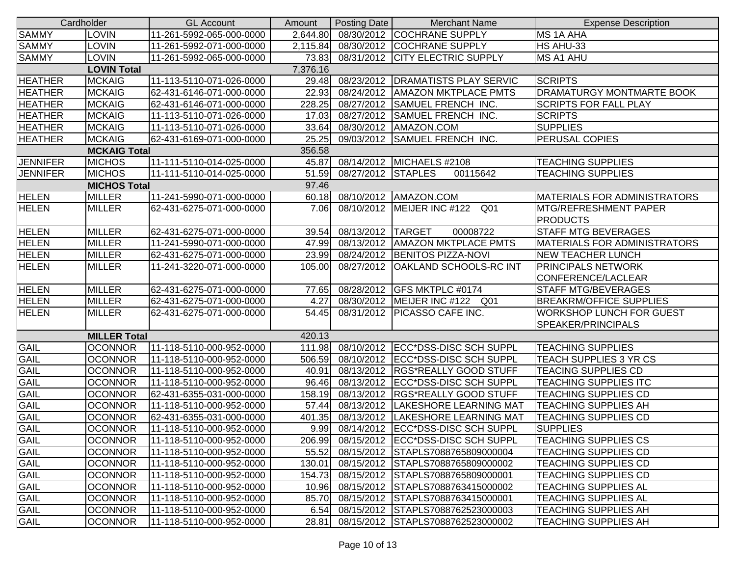| Cardholder      |                     | <b>GL Account</b>        | Amount   | Posting Date     | <b>Merchant Name</b>                     | <b>Expense Description</b>           |
|-----------------|---------------------|--------------------------|----------|------------------|------------------------------------------|--------------------------------------|
| <b>SAMMY</b>    | <b>LOVIN</b>        | 11-261-5992-065-000-0000 | 2,644.80 |                  | 08/30/2012 COCHRANE SUPPLY               | MS 1A AHA                            |
| <b>SAMMY</b>    | <b>LOVIN</b>        | 11-261-5992-071-000-0000 | 2,115.84 | 08/30/2012       | <b>COCHRANE SUPPLY</b>                   | HS AHU-33                            |
| <b>SAMMY</b>    | <b>LOVIN</b>        | 11-261-5992-065-000-0000 | 73.83    |                  | 08/31/2012 CITY ELECTRIC SUPPLY          | MS A1 AHU                            |
|                 | <b>LOVIN Total</b>  |                          | 7,376.16 |                  |                                          |                                      |
| <b>HEATHER</b>  | <b>MCKAIG</b>       | 11-113-5110-071-026-0000 | 29.48    | 08/23/2012       | <b>DRAMATISTS PLAY SERVIC</b>            | <b>SCRIPTS</b>                       |
| <b>HEATHER</b>  | <b>MCKAIG</b>       | 62-431-6146-071-000-0000 | 22.93    | 08/24/2012       | <b>AMAZON MKTPLACE PMTS</b>              | <b>DRAMATURGY MONTMARTE BOOK</b>     |
| <b>HEATHER</b>  | <b>MCKAIG</b>       | 62-431-6146-071-000-0000 | 228.25   | 08/27/2012       | <b>SAMUEL FRENCH INC.</b>                | <b>SCRIPTS FOR FALL PLAY</b>         |
| <b>HEATHER</b>  | <b>MCKAIG</b>       | 11-113-5110-071-026-0000 | 17.03    | 08/27/2012       | <b>SAMUEL FRENCH INC.</b>                | <b>SCRIPTS</b>                       |
| <b>HEATHER</b>  | <b>MCKAIG</b>       | 11-113-5110-071-026-0000 | 33.64    | 08/30/2012       | AMAZON.COM                               | <b>SUPPLIES</b>                      |
| <b>HEATHER</b>  | <b>MCKAIG</b>       | 62-431-6169-071-000-0000 | 25.25    | 09/03/2012       | <b>SAMUEL FRENCH INC.</b>                | <b>PERUSAL COPIES</b>                |
|                 | <b>MCKAIG Total</b> |                          | 356.58   |                  |                                          |                                      |
| <b>JENNIFER</b> | <b>MICHOS</b>       | 11-111-5110-014-025-0000 |          |                  | 45.87 08/14/2012 MICHAELS #2108          | <b>TEACHING SUPPLIES</b>             |
| <b>JENNIFER</b> | <b>MICHOS</b>       | 11-111-5110-014-025-0000 | 51.59    | 08/27/2012       | <b>STAPLES</b><br>00115642               | <b>TEACHING SUPPLIES</b>             |
|                 | <b>MICHOS Total</b> |                          | 97.46    |                  |                                          |                                      |
| <b>HELEN</b>    | <b>MILLER</b>       | 11-241-5990-071-000-0000 |          | 60.18 08/10/2012 | AMAZON.COM                               | <b>IMATERIALS FOR ADMINISTRATORS</b> |
| <b>HELEN</b>    | <b>MILLER</b>       | 62-431-6275-071-000-0000 | 7.06     |                  | 08/10/2012 MEIJER INC #122<br>Q01        | <b>MTG/REFRESHMENT PAPER</b>         |
|                 |                     |                          |          |                  |                                          | <b>PRODUCTS</b>                      |
| <b>HELEN</b>    | <b>MILLER</b>       | 62-431-6275-071-000-0000 | 39.54    | 08/13/2012       | <b>TARGET</b><br>00008722                | <b>STAFF MTG BEVERAGES</b>           |
| <b>HELEN</b>    | <b>MILLER</b>       | 11-241-5990-071-000-0000 | 47.99    | 08/13/2012       | <b>AMAZON MKTPLACE PMTS</b>              | <b>MATERIALS FOR ADMINISTRATORS</b>  |
| <b>HELEN</b>    | <b>MILLER</b>       | 62-431-6275-071-000-0000 |          | 23.99 08/24/2012 | <b>BENITOS PIZZA-NOVI</b>                | <b>NEW TEACHER LUNCH</b>             |
| <b>HELEN</b>    | <b>MILLER</b>       | 11-241-3220-071-000-0000 | 105.00   | 08/27/2012       | <b>OAKLAND SCHOOLS-RC INT</b>            | <b>PRINCIPALS NETWORK</b>            |
|                 |                     |                          |          |                  |                                          | CONFERENCE/LACLEAR                   |
| <b>HELEN</b>    | <b>MILLER</b>       | 62-431-6275-071-000-0000 | 77.65    |                  | 08/28/2012 GFS MKTPLC #0174              | <b>STAFF MTG/BEVERAGES</b>           |
| <b>HELEN</b>    | <b>MILLER</b>       | 62-431-6275-071-000-0000 | 4.27     | 08/30/2012       | MEIJER INC #122 Q01                      | <b>BREAKRM/OFFICE SUPPLIES</b>       |
| <b>HELEN</b>    | <b>MILLER</b>       | 62-431-6275-071-000-0000 | 54.45    | 08/31/2012       | <b>PICASSO CAFE INC.</b>                 | <b>WORKSHOP LUNCH FOR GUEST</b>      |
|                 |                     |                          |          |                  |                                          | SPEAKER/PRINCIPALS                   |
|                 | <b>MILLER Total</b> |                          | 420.13   |                  |                                          |                                      |
| <b>GAIL</b>     | <b>OCONNOR</b>      | 11-118-5110-000-952-0000 |          |                  | 111.98 08/10/2012 ECC*DSS-DISC SCH SUPPL | <b>TEACHING SUPPLIES</b>             |
| GAIL            | <b>OCONNOR</b>      | 11-118-5110-000-952-0000 | 506.59   |                  | 08/10/2012 ECC*DSS-DISC SCH SUPPL        | TEACH SUPPLIES 3 YR CS               |
| <b>GAIL</b>     | <b>OCONNOR</b>      | 11-118-5110-000-952-0000 | 40.91    |                  | 08/13/2012 RGS*REALLY GOOD STUFF         | <b>TEACING SUPPLIES CD</b>           |
| <b>GAIL</b>     | <b>OCONNOR</b>      | 11-118-5110-000-952-0000 | 96.46    | 08/13/2012       | ECC*DSS-DISC SCH SUPPL                   | <b>TEACHING SUPPLIES ITC</b>         |
| <b>GAIL</b>     | <b>OCONNOR</b>      | 62-431-6355-031-000-0000 | 158.19   | 08/13/2012       | <b>RGS*REALLY GOOD STUFF</b>             | <b>TEACHING SUPPLIES CD</b>          |
| <b>GAIL</b>     | <b>OCONNOR</b>      | 11-118-5110-000-952-0000 | 57.44    | 08/13/2012       | LAKESHORE LEARNING MAT                   | <b>TEACHING SUPPLIES AH</b>          |
| GAIL            | <b>OCONNOR</b>      | 62-431-6355-031-000-0000 | 401.35   | 08/13/2012       | LAKESHORE LEARNING MAT                   | <b>TEACHING SUPPLIES CD</b>          |
| <b>GAIL</b>     | <b>OCONNOR</b>      | 11-118-5110-000-952-0000 |          |                  | 9.99 08/14/2012 IECC*DSS-DISC SCH SUPPL  | <b>SUPPLIES</b>                      |
| <b>GAIL</b>     | <b>OCONNOR</b>      | 11-118-5110-000-952-0000 |          |                  | 206.99 08/15/2012 ECC*DSS-DISC SCH SUPPL | <b>TEACHING SUPPLIES CS</b>          |
| <b>GAIL</b>     | <b>OCONNOR</b>      | 11-118-5110-000-952-0000 | 55.52    | 08/15/2012       | STAPLS7088765809000004                   | <b>TEACHING SUPPLIES CD</b>          |
| <b>GAIL</b>     | <b>OCONNOR</b>      | 11-118-5110-000-952-0000 | 130.01   |                  | 08/15/2012 STAPLS7088765809000002        | <b>TEACHING SUPPLIES CD</b>          |
| <b>GAIL</b>     | <b>OCONNOR</b>      | 11-118-5110-000-952-0000 | 154.73   | 08/15/2012       | STAPLS7088765809000001                   | TEACHING SUPPLIES CD                 |
| <b>GAIL</b>     | <b>OCONNOR</b>      | 11-118-5110-000-952-0000 | 10.96    |                  | 08/15/2012 STAPLS7088763415000002        | <b>TEACHING SUPPLIES AL</b>          |
| <b>GAIL</b>     | <b>OCONNOR</b>      | 11-118-5110-000-952-0000 | 85.70    |                  | 08/15/2012 STAPLS7088763415000001        | <b>TEACHING SUPPLIES AL</b>          |
| <b>GAIL</b>     | <b>OCONNOR</b>      | 11-118-5110-000-952-0000 | 6.54     |                  | 08/15/2012 STAPLS7088762523000003        | <b>TEACHING SUPPLIES AH</b>          |
| <b>GAIL</b>     | <b>OCONNOR</b>      | 11-118-5110-000-952-0000 | 28.81    | 08/15/2012       | STAPLS7088762523000002                   | <b>TEACHING SUPPLIES AH</b>          |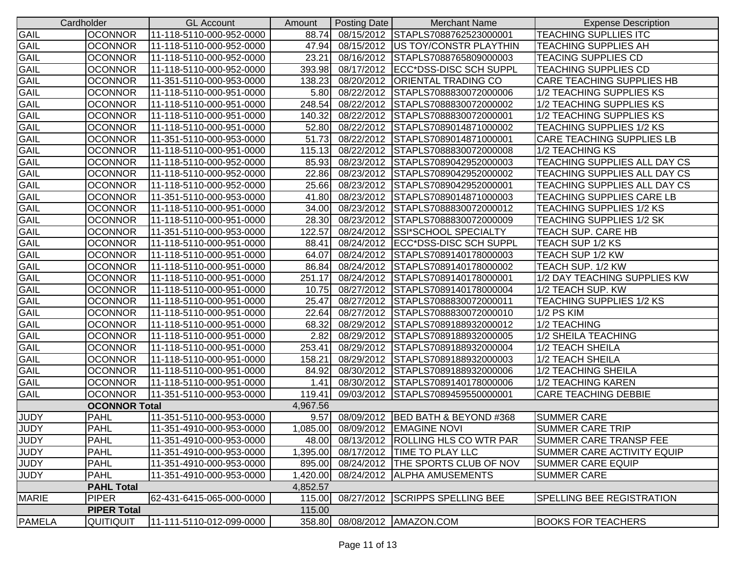|               | Cardholder           | <b>GL Account</b>        | Amount   | Posting Date      | <b>Merchant Name</b>                    | <b>Expense Description</b>       |
|---------------|----------------------|--------------------------|----------|-------------------|-----------------------------------------|----------------------------------|
| GAIL          | <b>OCONNOR</b>       | 11-118-5110-000-952-0000 | 88.74    | 08/15/2012        | STAPLS7088762523000001                  | <b>TEACHING SUPLLIES ITC</b>     |
| <b>GAIL</b>   | <b>OCONNOR</b>       | 11-118-5110-000-952-0000 | 47.94    | 08/15/2012        | <b>US TOY/CONSTR PLAYTHIN</b>           | <b>TEACHING SUPPLIES AH</b>      |
| GAIL          | <b>OCONNOR</b>       | 11-118-5110-000-952-0000 | 23.21    | 08/16/2012        | STAPLS7088765809000003                  | <b>TEACING SUPPLIES CD</b>       |
| GAIL          | <b>OCONNOR</b>       | 11-118-5110-000-952-0000 | 393.98   | 08/17/2012        | ECC*DSS-DISC SCH SUPPL                  | <b>TEACHING SUPPLIES CD</b>      |
| <b>GAIL</b>   | <b>OCONNOR</b>       | 11-351-5110-000-953-0000 | 138.23   | 08/20/2012        | <b>ORIENTAL TRADING CO</b>              | CARE TEACHING SUPPLIES HB        |
| GAIL          | <b>OCONNOR</b>       | 11-118-5110-000-951-0000 | 5.80     | 08/22/2012        | STAPLS7088830072000006                  | 1/2 TEACHING SUPPLIES KS         |
| GAIL          | <b>OCONNOR</b>       | 11-118-5110-000-951-0000 | 248.54   | 08/22/2012        | STAPLS7088830072000002                  | 1/2 TEACHING SUPPLIES KS         |
| GAIL          | <b>OCONNOR</b>       | 11-118-5110-000-951-0000 | 140.32   | 08/22/2012        | STAPLS7088830072000001                  | 1/2 TEACHING SUPPLIES KS         |
| GAIL          | <b>OCONNOR</b>       | 11-118-5110-000-951-0000 |          | 52.80 08/22/2012  | STAPLS7089014871000002                  | <b>TEACHING SUPPLIES 1/2 KS</b>  |
| GAIL          | <b>OCONNOR</b>       | 11-351-5110-000-953-0000 | 51.73    | 08/22/2012        | STAPLS7089014871000001                  | <b>CARE TEACHING SUPPLIES LB</b> |
| GAIL          | <b>OCONNOR</b>       | 11-118-5110-000-951-0000 | 115.13   | 08/22/2012        | STAPLS7088830072000008                  | 1/2 TEACHING KS                  |
| GAIL          | <b>OCONNOR</b>       | 11-118-5110-000-952-0000 | 85.93    | 08/23/2012        | STAPLS7089042952000003                  | TEACHING SUPPLIES ALL DAY CS     |
| GAIL          | <b>OCONNOR</b>       | 11-118-5110-000-952-0000 | 22.86    | 08/23/2012        | STAPLS7089042952000002                  | TEACHING SUPPLIES ALL DAY CS     |
| GAIL          | <b>OCONNOR</b>       | 11-118-5110-000-952-0000 | 25.66    | 08/23/2012        | STAPLS7089042952000001                  | TEACHING SUPPLIES ALL DAY CS     |
| GAIL          | <b>OCONNOR</b>       | 11-351-5110-000-953-0000 | 41.80    | 08/23/2012        | STAPLS7089014871000003                  | TEACHING SUPPLIES CARE LB        |
| GAIL          | <b>OCONNOR</b>       | 11-118-5110-000-951-0000 | 34.00    | 08/23/2012        | STAPLS7088830072000012                  | <b>TEACHING SUPPLIES 1/2 KS</b>  |
| GAIL          | <b>OCONNOR</b>       | 11-118-5110-000-951-0000 | 28.30    | 08/23/2012        | STAPLS7088830072000009                  | <b>TEACHING SUPPLIES 1/2 SK</b>  |
| GAIL          | <b>OCONNOR</b>       | 11-351-5110-000-953-0000 | 122.57   | 08/24/2012        | <b>SSI*SCHOOL SPECIALTY</b>             | TEACH SUP. CARE HB               |
| GAIL          | <b>OCONNOR</b>       | 11-118-5110-000-951-0000 | 88.41    | 08/24/2012        | ECC*DSS-DISC SCH SUPPL                  | TEACH SUP 1/2 KS                 |
| GAIL          | <b>OCONNOR</b>       | 11-118-5110-000-951-0000 | 64.07    | 08/24/2012        | STAPLS7089140178000003                  | <b>TEACH SUP 1/2 KW</b>          |
| GAIL          | <b>OCONNOR</b>       | 11-118-5110-000-951-0000 | 86.84    | 08/24/2012        | STAPLS7089140178000002                  | TEACH SUP. 1/2 KW                |
| GAIL          | <b>OCONNOR</b>       | 11-118-5110-000-951-0000 | 251.17   | 08/24/2012        | STAPLS7089140178000001                  | 1/2 DAY TEACHING SUPPLIES KW     |
| GAIL          | <b>OCONNOR</b>       | 11-118-5110-000-951-0000 | 10.75    | 08/27/2012        | STAPLS7089140178000004                  | 1/2 TEACH SUP. KW                |
| <b>GAIL</b>   | <b>OCONNOR</b>       | 11-118-5110-000-951-0000 | 25.47    | 08/27/2012        | STAPLS7088830072000011                  | <b>TEACHING SUPPLIES 1/2 KS</b>  |
| GAIL          | <b>OCONNOR</b>       | 11-118-5110-000-951-0000 | 22.64    | 08/27/2012        | STAPLS7088830072000010                  | <b>1/2 PS KIM</b>                |
| GAIL          | <b>OCONNOR</b>       | 11-118-5110-000-951-0000 | 68.32    | 08/29/2012        | STAPLS7089188932000012                  | 1/2 TEACHING                     |
| GAIL          | <b>OCONNOR</b>       | 11-118-5110-000-951-0000 | 2.82     | 08/29/2012        | STAPLS7089188932000005                  | 1/2 SHEILA TEACHING              |
| <b>GAIL</b>   | <b>OCONNOR</b>       | 11-118-5110-000-951-0000 | 253.41   | 08/29/2012        | STAPLS7089188932000004                  | 1/2 TEACH SHEILA                 |
| GAIL          | <b>OCONNOR</b>       | 11-118-5110-000-951-0000 | 158.21   | 08/29/2012        | STAPLS7089188932000003                  | 1/2 TEACH SHEILA                 |
| <b>GAIL</b>   | <b>OCONNOR</b>       | 11-118-5110-000-951-0000 | 84.92    | 08/30/2012        | STAPLS7089188932000006                  | 1/2 TEACHING SHEILA              |
| GAIL          | <b>OCONNOR</b>       | 11-118-5110-000-951-0000 | 1.41     |                   | 08/30/2012 STAPLS7089140178000006       | 1/2 TEACHING KAREN               |
| GAIL          | <b>OCONNOR</b>       | 11-351-5110-000-953-0000 | 119.41   | 09/03/2012        | STAPLS7089459550000001                  | <b>CARE TEACHING DEBBIE</b>      |
|               | <b>OCONNOR Total</b> |                          | 4,967.56 |                   |                                         |                                  |
| <b>JUDY</b>   | <b>PAHL</b>          | 11-351-5110-000-953-0000 | 9.57     | 08/09/2012        | <b>BED BATH &amp; BEYOND #368</b>       | <b>SUMMER CARE</b>               |
| <b>JUDY</b>   | <b>PAHL</b>          | 11-351-4910-000-953-0000 |          |                   | 1,085.00 08/09/2012 EMAGINE NOVI        | <b>ISUMMER CARE TRIP</b>         |
| <b>JUDY</b>   | <b>PAHL</b>          | 11-351-4910-000-953-0000 |          |                   | 48.00 08/13/2012 ROLLING HLS CO WTR PAR | SUMMER CARE TRANSP FEE           |
| <b>JUDY</b>   | <b>PAHL</b>          | 11-351-4910-000-953-0000 | 1,395.00 | 08/17/2012        | <b>TIME TO PLAY LLC</b>                 | SUMMER CARE ACTIVITY EQUIP       |
| <b>JUDY</b>   | <b>PAHL</b>          | 11-351-4910-000-953-0000 | 895.00   | 08/24/2012        | <b>THE SPORTS CLUB OF NOV</b>           | <b>SUMMER CARE EQUIP</b>         |
| <b>JUDY</b>   | <b>PAHL</b>          | 11-351-4910-000-953-0000 | 1,420.00 | 08/24/2012        | <b>ALPHA AMUSEMENTS</b>                 | <b>SUMMER CARE</b>               |
|               | <b>PAHL Total</b>    |                          | 4,852.57 |                   |                                         |                                  |
| <b>MARIE</b>  | <b>PIPER</b>         | 62-431-6415-065-000-0000 |          | 115.00 08/27/2012 | <b>SCRIPPS SPELLING BEE</b>             | <b>SPELLING BEE REGISTRATION</b> |
|               | <b>PIPER Total</b>   |                          | 115.00   |                   |                                         |                                  |
| <b>PAMELA</b> | <b>QUITIQUIT</b>     | 11-111-5110-012-099-0000 |          |                   | 358.80 08/08/2012 AMAZON.COM            | <b>BOOKS FOR TEACHERS</b>        |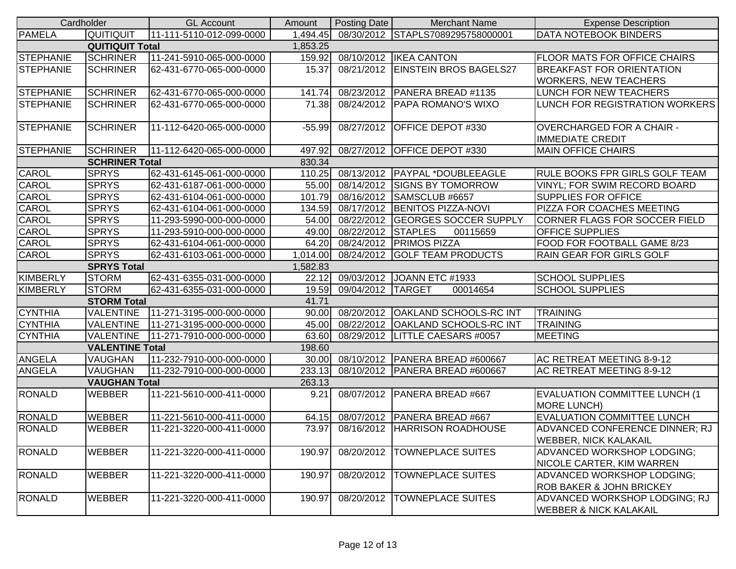|                  | Cardholder             | <b>GL Account</b>        | Amount   | Posting Date       | <b>Merchant Name</b>                | <b>Expense Description</b>                                         |
|------------------|------------------------|--------------------------|----------|--------------------|-------------------------------------|--------------------------------------------------------------------|
| <b>PAMELA</b>    | QUITIQUIT              | 11-111-5110-012-099-0000 | 1,494.45 |                    | 08/30/2012 STAPLS7089295758000001   | <b>DATA NOTEBOOK BINDERS</b>                                       |
|                  | <b>QUITIQUIT Total</b> |                          | 1,853.25 |                    |                                     |                                                                    |
| STEPHANIE        | <b>SCHRINER</b>        | 11-241-5910-065-000-0000 | 159.92   |                    | 08/10/2012   IKEA CANTON            | <b>FLOOR MATS FOR OFFICE CHAIRS</b>                                |
| <b>STEPHANIE</b> | <b>SCHRINER</b>        | 62-431-6770-065-000-0000 | 15.37    |                    | 08/21/2012 EINSTEIN BROS BAGELS27   | <b>BREAKFAST FOR ORIENTATION</b>                                   |
|                  |                        |                          |          |                    |                                     | <b>WORKERS, NEW TEACHERS</b>                                       |
| <b>STEPHANIE</b> | <b>SCHRINER</b>        | 62-431-6770-065-000-0000 | 141.74   |                    | 08/23/2012   PANERA BREAD #1135     | <b>LUNCH FOR NEW TEACHERS</b>                                      |
| <b>STEPHANIE</b> | <b>SCHRINER</b>        | 62-431-6770-065-000-0000 | 71.38    |                    | 08/24/2012 PAPA ROMANO'S WIXO       | LUNCH FOR REGISTRATION WORKERS                                     |
| <b>STEPHANIE</b> | <b>SCHRINER</b>        | 11-112-6420-065-000-0000 | $-55.99$ |                    | 08/27/2012 OFFICE DEPOT #330        | <b>OVERCHARGED FOR A CHAIR -</b><br><b>IMMEDIATE CREDIT</b>        |
| STEPHANIE        | <b>SCHRINER</b>        | 11-112-6420-065-000-0000 | 497.92   |                    | 08/27/2012 OFFICE DEPOT #330        | <b>MAIN OFFICE CHAIRS</b>                                          |
|                  | <b>SCHRINER Total</b>  |                          | 830.34   |                    |                                     |                                                                    |
| CAROL            | <b>SPRYS</b>           | 62-431-6145-061-000-0000 | 110.25   | 08/13/2012         | <b>PAYPAL *DOUBLEEAGLE</b>          | <b>RULE BOOKS FPR GIRLS GOLF TEAM</b>                              |
| CAROL            | <b>SPRYS</b>           | 62-431-6187-061-000-0000 | 55.00    | 08/14/2012         | <b>SIGNS BY TOMORROW</b>            | <b>VINYL; FOR SWIM RECORD BOARD</b>                                |
| <b>CAROL</b>     | <b>SPRYS</b>           | 62-431-6104-061-000-0000 | 101.79   | 08/16/2012         | SAMSCLUB #6657                      | <b>SUPPLIES FOR OFFICE</b>                                         |
| <b>CAROL</b>     | <b>SPRYS</b>           | 62-431-6104-061-000-0000 | 134.59   |                    | 08/17/2012 BENITOS PIZZA-NOVI       | PIZZA FOR COACHES MEETING                                          |
| CAROL            | <b>SPRYS</b>           | 11-293-5990-000-000-0000 | 54.00    |                    | 08/22/2012 GEORGES SOCCER SUPPLY    | CORNER FLAGS FOR SOCCER FIELD                                      |
| CAROL            | <b>SPRYS</b>           | 11-293-5910-000-000-0000 | 49.00    | 08/22/2012 STAPLES | 00115659                            | <b>OFFICE SUPPLIES</b>                                             |
| CAROL            | <b>SPRYS</b>           | 62-431-6104-061-000-0000 | 64.20    |                    | 08/24/2012 PRIMOS PIZZA             | FOOD FOR FOOTBALL GAME 8/23                                        |
| CAROL            | <b>SPRYS</b>           | 62-431-6103-061-000-0000 | 1,014.00 |                    | 08/24/2012 GOLF TEAM PRODUCTS       | <b>RAIN GEAR FOR GIRLS GOLF</b>                                    |
|                  | <b>SPRYS Total</b>     |                          | 1,582.83 |                    |                                     |                                                                    |
| KIMBERLY         | <b>STORM</b>           | 62-431-6355-031-000-0000 | 22.12    |                    | 09/03/2012 JOANN ETC #1933          | <b>SCHOOL SUPPLIES</b>                                             |
| KIMBERLY         | <b>STORM</b>           | 62-431-6355-031-000-0000 | 19.59    | 09/04/2012 TARGET  | 00014654                            | <b>SCHOOL SUPPLIES</b>                                             |
|                  | <b>STORM Total</b>     |                          | 41.71    |                    |                                     |                                                                    |
| <b>CYNTHIA</b>   | <b>VALENTINE</b>       | 11-271-3195-000-000-0000 | 90.00    |                    | 08/20/2012   OAKLAND SCHOOLS-RC INT | <b>TRAINING</b>                                                    |
| <b>CYNTHIA</b>   | <b>VALENTINE</b>       | 11-271-3195-000-000-0000 | 45.00    |                    | 08/22/2012   OAKLAND SCHOOLS-RC INT | <b>TRAINING</b>                                                    |
| <b>CYNTHIA</b>   | <b>VALENTINE</b>       | 11-271-7910-000-000-0000 | 63.60    |                    | 08/29/2012  LITTLE CAESARS #0057    | <b>MEETING</b>                                                     |
|                  | <b>VALENTINE Total</b> |                          | 198.60   |                    |                                     |                                                                    |
| <b>ANGELA</b>    | VAUGHAN                | 11-232-7910-000-000-0000 | 30.00    |                    | 08/10/2012 PANERA BREAD #600667     | AC RETREAT MEETING 8-9-12                                          |
| <b>ANGELA</b>    | VAUGHAN                | 11-232-7910-000-000-0000 | 233.13   |                    | 08/10/2012   PANERA BREAD #600667   | AC RETREAT MEETING 8-9-12                                          |
|                  | <b>VAUGHAN Total</b>   |                          | 263.13   |                    |                                     |                                                                    |
| <b>RONALD</b>    | <b>WEBBER</b>          | 11-221-5610-000-411-0000 | 9.21     |                    | 08/07/2012   PANERA BREAD #667      | <b>EVALUATION COMMITTEE LUNCH (1</b><br>MORE LUNCH)                |
| <b>RONALD</b>    | <b>WEBBER</b>          | 11-221-5610-000-411-0000 | 64.15    | 08/07/2012         | <b>PANERA BREAD #667</b>            | <b>EVALUATION COMMITTEE LUNCH</b>                                  |
| <b>RONALD</b>    | <b>WEBBER</b>          | 11-221-3220-000-411-0000 |          |                    | 73.97 08/16/2012 HARRISON ROADHOUSE | ADVANCED CONFERENCE DINNER; RJ<br><b>WEBBER, NICK KALAKAIL</b>     |
| <b>RONALD</b>    | <b>WEBBER</b>          | 11-221-3220-000-411-0000 | 190.97   | 08/20/2012         | <b>TOWNEPLACE SUITES</b>            | ADVANCED WORKSHOP LODGING;<br><b>NICOLE CARTER, KIM WARREN</b>     |
| <b>RONALD</b>    | <b>WEBBER</b>          | 11-221-3220-000-411-0000 | 190.97   | 08/20/2012         | <b>TOWNEPLACE SUITES</b>            | ADVANCED WORKSHOP LODGING;<br><b>ROB BAKER &amp; JOHN BRICKEY</b>  |
| <b>RONALD</b>    | WEBBER                 | 11-221-3220-000-411-0000 | 190.97   | 08/20/2012         | <b>TOWNEPLACE SUITES</b>            | ADVANCED WORKSHOP LODGING; RJ<br><b>WEBBER &amp; NICK KALAKAIL</b> |